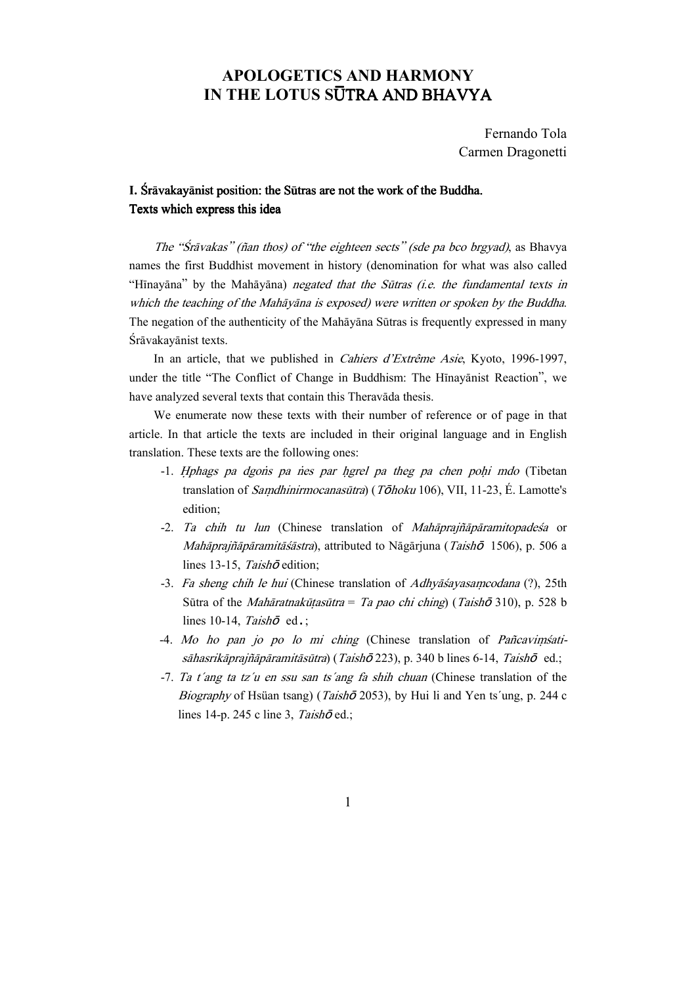# APOLOGETICS AND HARMONY IN THE LOTUS SUTRA AND BHAVYA

 Fernando Tola Carmen Dragonetti

## I. Srāvakayānist position: the Sūtras are not the work of the Buddha. Texts which express this idea

The "Srāvakas" (ñan thos) of "the eighteen sects" (sde pa bco brgyad), as Bhavya names the first Buddhist movement in history (denomination for what was also called "Hīnayāna" by the Mahāyāna) negated that the Sūtras (i.e. the fundamental texts in which the teaching of the Mahayana is exposed) were written or spoken by the Buddha. The negation of the authenticity of the Mahayana Sūtras is frequently expressed in many Śrāvakayānist texts.

In an article, that we published in *Cahiers d'Extrême Asie*, Kyoto, 1996-1997, under the title "The Conflict of Change in Buddhism: The Hīnayānist Reaction", we have analyzed several texts that contain this Theravāda thesis.

We enumerate now these texts with their number of reference or of page in that article. In that article the texts are included in their original language and in English translation. These texts are the following ones:

- -1. Hphags pa dgons pa nes par hgrel pa theg pa chen pohi mdo (Tibetan translation of *Samdhinirmocanasūtra*) (T $\bar{\sigma}$ hoku 106), VII, 11-23, É. Lamotte's edition;
- $-2$ . Ta chih tu lun (Chinese translation of *Mahaprajñaparamitopadesa* or Mahāprajñāpāramitāśāstra), attributed to Nāgārjuna (Taishō 1506), p. 506 a lines 13-15, Taish $\bar{\sigma}$  edition;
- -3. Fa sheng chih le hui (Chinese translation of Adhyāsayasamcodana (?), 25th Sūtra of the *Mahāratnakūtasūtra* = Ta pao chi ching) (Taish $\bar{\sigma}$  310), p. 528 b lines 10-14, Taish $\bar{\sigma}$  ed.;
- -4. Mo ho pan jo po lo mi ching (Chinese translation of Pañcavimsatisāhasrikāprajñāpāramitāsūtra) (Taishō 223), p. 340 b lines 6-14, Taishō ed.;
- -7. Ta t´ang ta tz´u en ssu san ts´ang fa shih chuan (Chinese translation of the Biography of Hsüan tsang) (Taishō 2053), by Hui li and Yen ts'ung, p. 244 c lines 14-p. 245 c line 3, Taish $\bar{\sigma}$ ed.;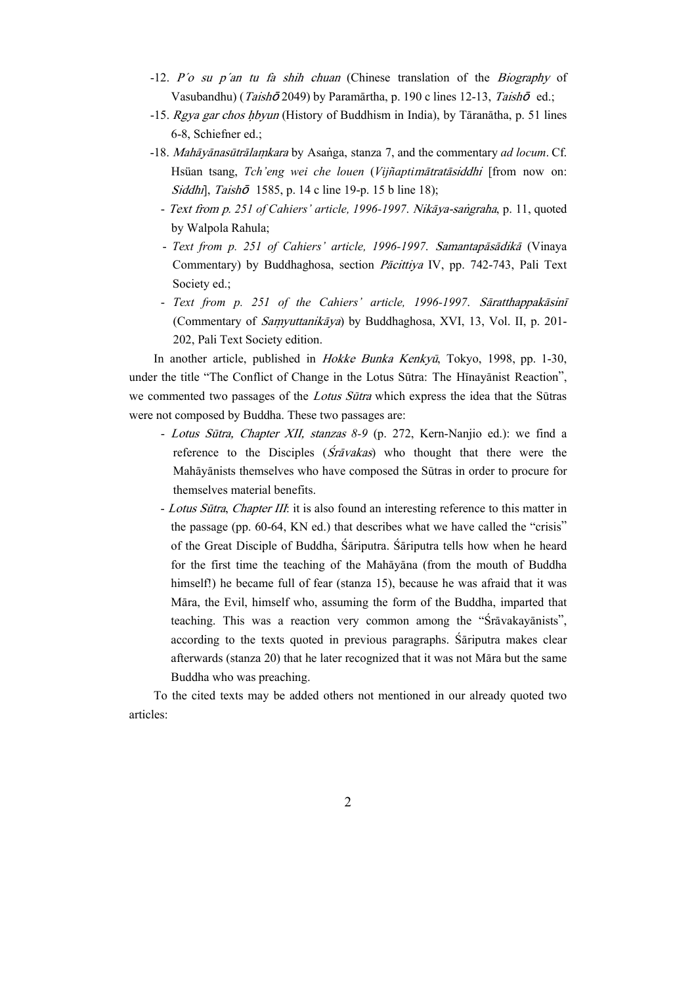- -12. P´o su p´an tu fa shih chuan (Chinese translation of the Biography of Vasubandhu) (*Taishō* 2049) by Paramārtha, p. 190 c lines 12-13, *Taishō* ed.;
- $-15.$  Rgya gar chos hbyun (History of Buddhism in India), by Tāranātha, p. 51 lines 6-8, Schiefner ed.;
- -18. Mahāyānasūtrālamkara by Asanga, stanza 7, and the commentary ad locum. Cf. Hsüan tsang, Tch'eng wei che louen (Vijñaptimātratāsiddhi [from now on: Siddhi], Taish $\bar{\sigma}$  1585, p. 14 c line 19-p. 15 b line 18);
	- Text from p. 251 of Cahiers' article, 1996-1997. Nikāya-sangraha, p. 11, quoted by Walpola Rahula;
	- Text from p. 251 of Cahiers' article, 1996-1997. Samantapāsādikā (Vinaya Commentary) by Buddhaghosa, section *Pācittiya IV*, pp. 742-743, Pali Text Society ed.;
	- Text from p. 251 of the Cahiers' article, 1996-1997. Sāratthappakāsinī (Commentary of *Samyuttanikāya*) by Buddhaghosa, XVI, 13, Vol. II, p. 201-202, Pali Text Society edition.

In another article, published in Hokke Bunka Kenkyū, Tokyo, 1998, pp. 1-30, under the title "The Conflict of Change in the Lotus Sūtra: The Hīnayānist Reaction", we commented two passages of the *Lotus Sūtra* which express the idea that the Sūtras were not composed by Buddha. These two passages are:

- Lotus Sūtra, Chapter XII, stanzas 8-9 (p. 272, Kern-Nanjio ed.): we find a reference to the Disciples  $(Srāvakas)$  who thought that there were the Mahāyānists themselves who have composed the Sūtras in order to procure for themselves material benefits.
- Lotus Sūtra, Chapter III: it is also found an interesting reference to this matter in the passage (pp. 60-64, KN ed.) that describes what we have called the "crisis" of the Great Disciple of Buddha, Sariputra. Sariputra tells how when he heard for the first time the teaching of the Mahāyāna (from the mouth of Buddha himself!) he became full of fear (stanza 15), because he was afraid that it was Māra, the Evil, himself who, assuming the form of the Buddha, imparted that teaching. This was a reaction very common among the "Sravakayanists", according to the texts quoted in previous paragraphs. Sariputra makes clear afterwards (stanza 20) that he later recognized that it was not Māra but the same Buddha who was preaching.

To the cited texts may be added others not mentioned in our already quoted two articles: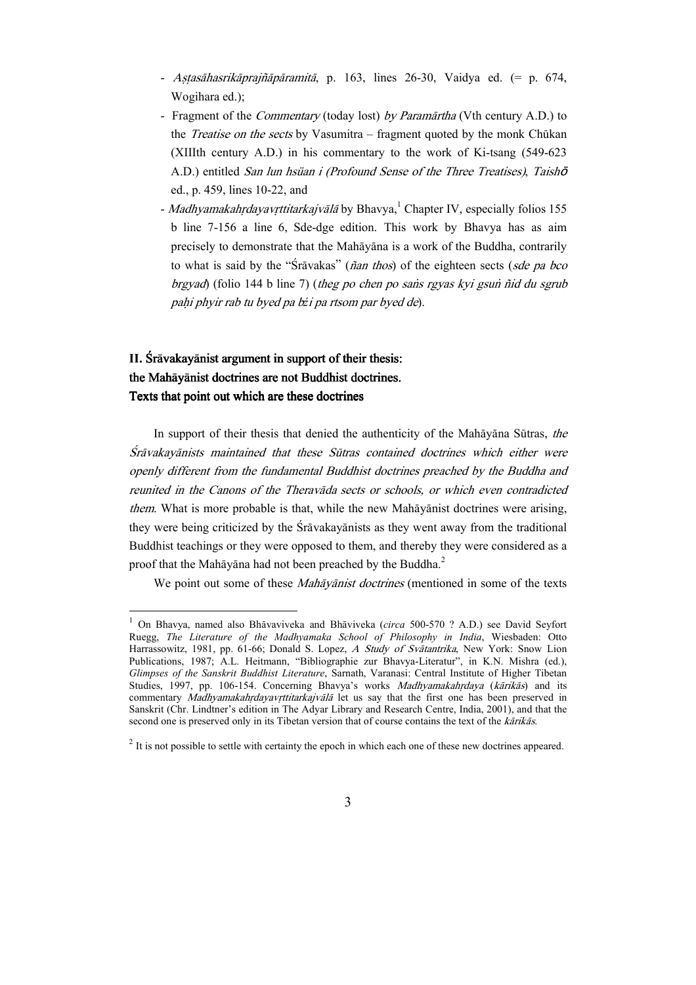- Astasāhasrikāprajñāpāramitā, p. 163, lines 26-30, Vaidya ed. (= p. 674, Wogihara ed.);
- Fragment of the *Commentary* (today lost) by Paramārtha (Vth century A.D.) to the *Treatise on the sects* by Vasumitra – fragment quoted by the monk Chūkan (XIIIth century A.D.) in his commentary to the work of Ki-tsang (549-623 A.D.) entitled San lun hsüan i (Profound Sense of the Three Treatises), Taish<sup>ō</sup> ed., p. 459, lines 10-22, and
- Madhyamakahrdayavrttitarkajvālā by Bhavya, <sup>1</sup> Chapter IV, especially folios 155 b line 7-156 a line 6, Sde-dge edition. This work by Bhavya has as aim precisely to demonstrate that the Mahāyāna is a work of the Buddha, contrarily to what is said by the " $\hat{S}$ rāvakas" (ñan thos) of the eighteen sects (sde pa bco  $b$ rgyad) (folio 144 b line 7) (theg po chen po sans rgyas kyi gsun  $\tilde{n}$ id du sgrub pahi phyir rab tu byed pa bźi pa rtsom par byed de).

## II. Srāvakayānist argument in support of their thesis: the Mahāyānist doctrines are not Buddhist doctrines. Texts that point out which are these doctrines

 $\overline{a}$ 

In support of their thesis that denied the authenticity of the Mah $\bar{a}$ yana Sūtras, the Śrāvakayānists maintained that these Sūtras contained doctrines which either were openly different from the fundamental Buddhist doctrines preached by the Buddha and reunited in the Canons of the Theravada sects or schools, or which even contradicted them. What is more probable is that, while the new Mah $\bar{a}$ yanist doctrines were arising, they were being criticized by the Sravakayanists as they went away from the traditional Buddhist teachings or they were opposed to them, and thereby they were considered as a proof that the Mahāyāna had not been preached by the Buddha. $^2$ 

We point out some of these *Mahavanist doctrines* (mentioned in some of the texts

<sup>&</sup>lt;sup>1</sup> On Bhavya, named also Bhāvaviveka and Bhāviveka (circa 500-570 ? A.D.) see David Seyfort Ruegg, The Literature of the Madhyamaka School of Philosophy in India, Wiesbaden: Otto Harrassowitz, 1981, pp. 61-66; Donald S. Lopez, A Study of Svatantrika, New York: Snow Lion Publications, 1987; A.L. Heitmann, "Bibliographie zur Bhavya-Literatur", in K.N. Mishra (ed.), Glimpses of the Sanskrit Buddhist Literature, Sarnath, Varanasi: Central Institute of Higher Tibetan Studies, 1997, pp. 106-154. Concerning Bhavya's works *Madhyamakahrdaya (kārikās)* and its commentary Madhyamakahrdayavrttitarkajvālā let us say that the first one has been preserved in Sanskrit (Chr. Lindtner's edition in The Adyar Library and Research Centre, India, 2001), and that the second one is preserved only in its Tibetan version that of course contains the text of the karikas.

 $2$  It is not possible to settle with certainty the epoch in which each one of these new doctrines appeared.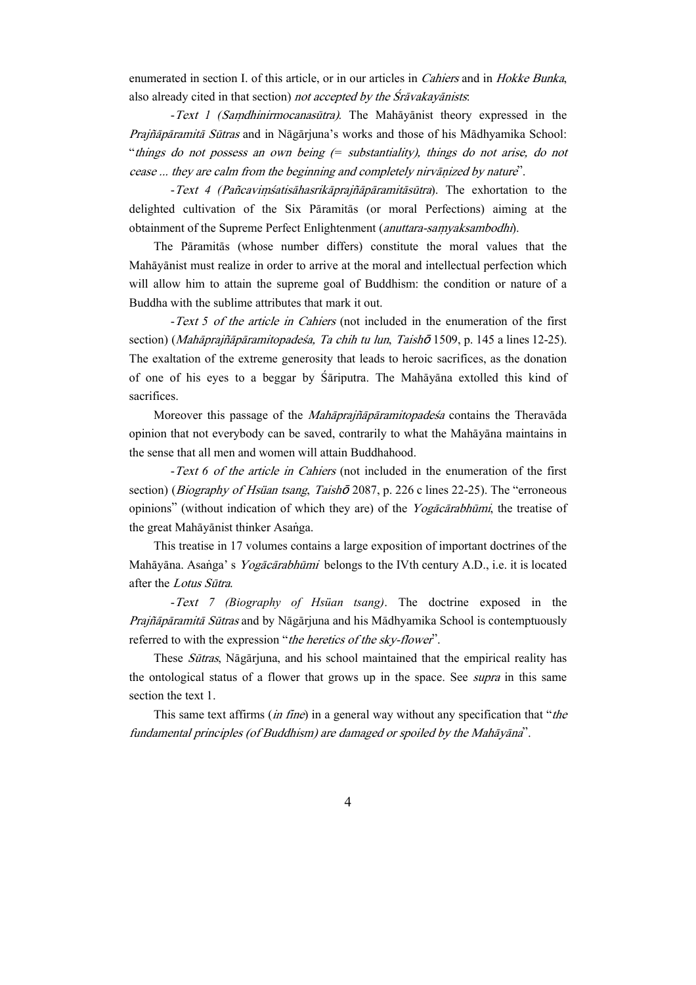enumerated in section I. of this article, or in our articles in *Cahiers* and in *Hokke Bunka*, also already cited in that section) not accepted by the  $S_{\rm r}\bar{a}$ vakay $\bar{a}$ nists:

 $-Text$  1 (Samdhinirmocanasūtra). The Mahāyānist theory expressed in the Prajñāpāramitā Sūtras and in Nāgārjuna's works and those of his Mādhyamika School: "things do not possess an own being  $(=$  substantiality), things do not arise, do not cease ... they are calm from the beginning and completely nirvanized by nature".

 $-Text$  4 (Pañcavimśatisāhasrikāprajñāpāramitāsūtra). The exhortation to the delighted cultivation of the Six Pāramitās (or moral Perfections) aiming at the obtainment of the Supreme Perfect Enlightenment (anuttara-samyaksambodhi).

The Pāramitās (whose number differs) constitute the moral values that the Mahāyānist must realize in order to arrive at the moral and intellectual perfection which will allow him to attain the supreme goal of Buddhism: the condition or nature of a Buddha with the sublime attributes that mark it out.

-Text 5 of the article in Cahiers (not included in the enumeration of the first section) (Mahāprajñāpāramitopadesa, Ta chih tu lun, Taishō 1509, p. 145 a lines 12-25). The exaltation of the extreme generosity that leads to heroic sacrifices, as the donation of one of his eyes to a beggar by Sariputra. The Mahayana extolled this kind of sacrifices.

Moreover this passage of the *Mahāprajñāpāramitopadesa* contains the Theravāda opinion that not everybody can be saved, contrarily to what the Mahāyāna maintains in the sense that all men and women will attain Buddhahood.

-Text 6 of the article in Cahiers (not included in the enumeration of the first section) (Biography of Hsüan tsang, Taishō 2087, p. 226 c lines 22-25). The "erroneous opinions" (without indication of which they are) of the *Yogacarabhumi*, the treatise of the great Mahāyānist thinker Asanga.

This treatise in 17 volumes contains a large exposition of important doctrines of the Mahāyāna. Asanga' s Yogācārabhūmi belongs to the IVth century A.D., i.e. it is located after the Lotus Sūtra.

 -Text 7 (Biography of Hsüan tsang). The doctrine exposed in the Prajñāpāramitā Sūtras and by Nāgārjuna and his Mādhyamika School is contemptuously referred to with the expression "*the heretics of the sky-flower*".

These Sūtras, Nāgārjuna, and his school maintained that the empirical reality has the ontological status of a flower that grows up in the space. See *supra* in this same section the text 1.

This same text affirms *(in fine)* in a general way without any specification that "*the* fundamental principles (of Buddhism) are damaged or spoiled by the Mahāyāna".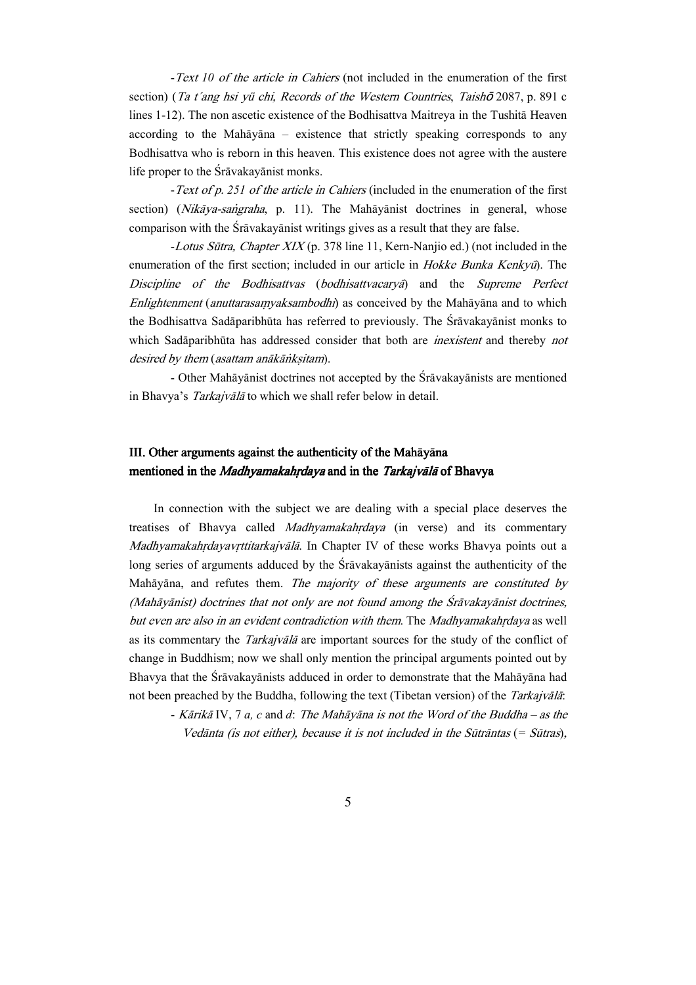-Text 10 of the article in Cahiers (not included in the enumeration of the first section) (Ta t'ang hsi yü chi, Records of the Western Countries, Taish**ō** 2087, p. 891 c lines 1-12). The non ascetic existence of the Bodhisattva Maitreya in the Tushitā Heaven according to the Mah $\bar{a}$ yana – existence that strictly speaking corresponds to any Bodhisattva who is reborn in this heaven. This existence does not agree with the austere life proper to the Śrāvakayānist monks.

- Text of p. 251 of the article in Cahiers (included in the enumeration of the first section) (Nikāya-sangraha, p. 11). The Mahāyānist doctrines in general, whose comparison with the Srāvakayānist writings gives as a result that they are false.

-Lotus Sūtra, Chapter XIX (p. 378 line 11, Kern-Nanjio ed.) (not included in the enumeration of the first section; included in our article in *Hokke Bunka Kenkyū*). The Discipline of the Bodhisattvas (bodhisattvacarya) and the Supreme Perfect Enlightenment (anuttarasamyaksambodhi) as conceived by the Mahāyāna and to which the Bodhisattva Sadāparibhūta has referred to previously. The Śrāvakayānist monks to which Sadāparibhūta has addressed consider that both are *inexistent* and thereby not desired by them (asattam anākānksitam).

- Other Mahāyānist doctrines not accepted by the Śrāvakayānists are mentioned in Bhavya's Tarkajvālā to which we shall refer below in detail.

### III. Other arguments against the authenticity of the Mahayana mentioned in the *Madhyamakahrdaya* and in the *Tarkajvālā* of Bhavya

In connection with the subject we are dealing with a special place deserves the treatises of Bhavya called *Madhyamakahrdaya* (in verse) and its commentary Madhyamakahrdayavrttitarkajvālā. In Chapter IV of these works Bhavya points out a long series of arguments adduced by the Sravakayanists against the authenticity of the Mahāyāna, and refutes them. The majority of these arguments are constituted by (Mahāyānist) doctrines that not only are not found among the Śrāvakayānist doctrines, but even are also in an evident contradiction with them. The Madhyamakahrdaya as well as its commentary the *Tarkajvala* are important sources for the study of the conflict of change in Buddhism; now we shall only mention the principal arguments pointed out by Bhavya that the Srāvakayānists adduced in order to demonstrate that the Mahāyāna had not been preached by the Buddha, following the text (Tibetan version) of the Tarkajvālā:

- Kārikā IV, 7 a, c and d: The Mahāyāna is not the Word of the Buddha – as the Vedānta (is not either), because it is not included in the Sūtrāntas (= Sūtras),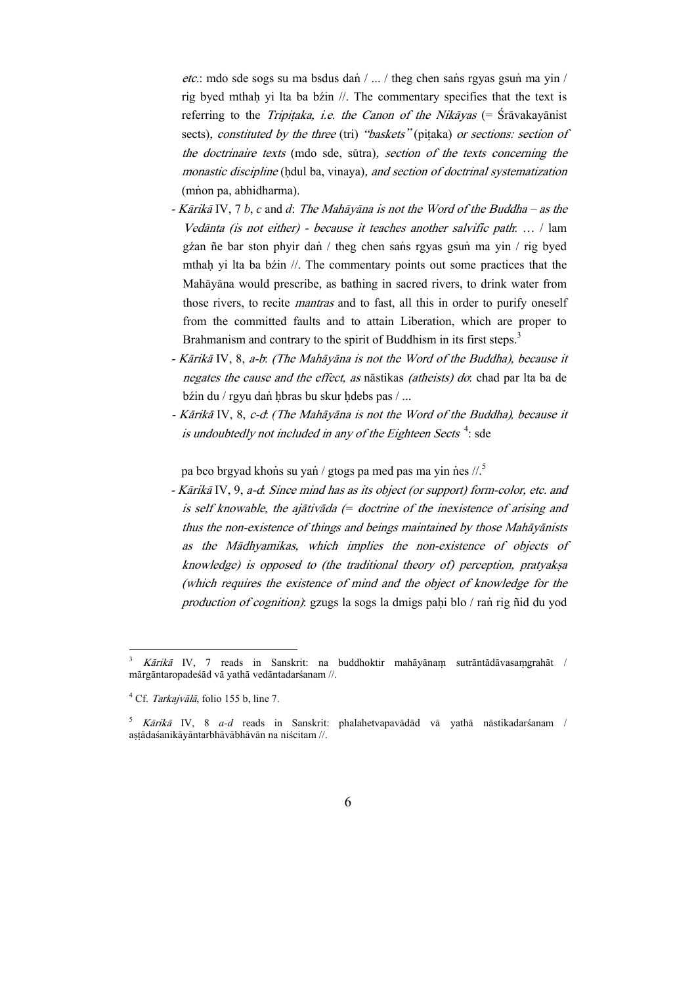etc.: mdo sde sogs su ma bsdus dan  $/ \ldots /$  theg chen sans rgyas gsun ma yin  $/$ rig byed mthah yi lta ba bźin  $\ell$ . The commentary specifies that the text is referring to the Tripitaka, i.e. the Canon of the Nik $\bar{a}$ yas (=  $\bar{S}$ rāvakayānist sects), constituted by the three (tri) "baskets" (pitaka) or sections: section of the doctrinaire texts (mdo sde, sūtra), section of the texts concerning the monastic discipline (hdul ba, vinaya), and section of doctrinal systematization (mnon pa, abhidharma).

- Kārikā IV, 7 b, c and d: The Mahāyāna is not the Word of the Buddha as the Vedanta (is not either) - because it teaches another salvific path:  $\dots$  / lam gźan ñe bar ston phyir dan / theg chen sans rgyas gsun ma yin / rig byed mthah yi lta ba bźin //. The commentary points out some practices that the Mahāyāna would prescribe, as bathing in sacred rivers, to drink water from those rivers, to recite *mantras* and to fast, all this in order to purify oneself from the committed faults and to attain Liberation, which are proper to Brahmanism and contrary to the spirit of Buddhism in its first steps.<sup>3</sup>
- Kārikā IV, 8, a-b: (The Mahāyāna is not the Word of the Buddha), because it negates the cause and the effect, as nāstikas (atheists) do: chad par lta ba de bźin du / rgyu daṅ hbras bu skur hdebs pas / ...
- Kārikā IV, 8, c-d. (The Mahāyāna is not the Word of the Buddha), because it is undoubtedly not included in any of the Eighteen Sects<sup>4</sup>: sde

pa bco brgyad khons su yan / gtogs pa med pas ma yin nes  $/2$ .<sup>5</sup>

- Kārikā IV, 9, a-d. Since mind has as its object (or support) form-color, etc. and is self knowable, the ajativada  $(=$  doctrine of the inexistence of arising and thus the non-existence of things and beings maintained by those Mahāyānists as the Mādhyamikas, which implies the non-existence of objects of knowledge) is opposed to (the traditional theory of) perception, pratyaksa (which requires the existence of mind and the object of knowledge for the production of cognition): gzugs la sogs la dmigs pahi blo  $/$  ran rig ñid du yod

 $\overline{a}$ 

 $K\bar{a}$ rik $\bar{a}$  IV, 7 reads in Sanskrit: na buddhoktir mahāyānam sutrāntādāvasamgrahāt / mārgāntaropadeśād vā yathā vedāntadarśanam //.

 $^{4}$  Cf. *Tarkajvālā*, folio 155 b, line 7.

 $5$  Kārikā IV, 8 a-d reads in Sanskrit: phalahetvapavādād vā yathā nāstikadarsanam / astādaśanikāyāntarbhāvābhāvān na niścitam //.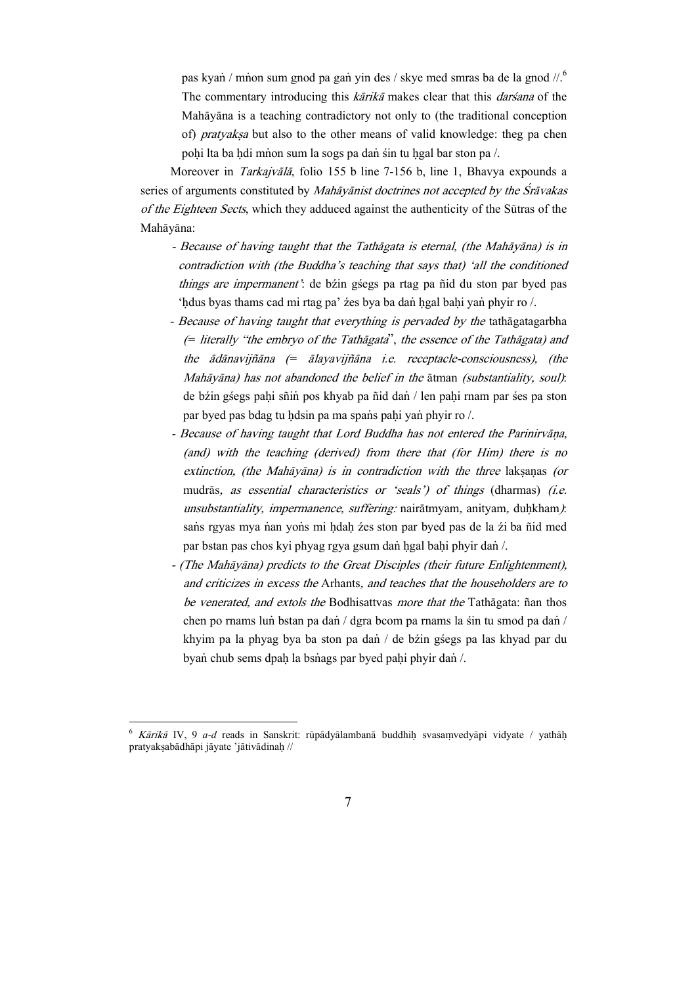pas kyan / mnon sum gnod pa gan yin des / skye med smras ba de la gnod  $\frac{1}{6}$ . The commentary introducing this *kārikā* makes clear that this *darsana* of the Mahāyāna is a teaching contradictory not only to (the traditional conception of) *pratyaksa* but also to the other means of valid knowledge: theg pa chen pohi lta ba hdi mnon sum la sogs pa dan sin tu hgal bar ston pa /.

Moreover in *Tarkajvālā*, folio 155 b line 7-156 b, line 1, Bhavya expounds a series of arguments constituted by *Mahāyānist doctrines not accepted by the Śrāyakas* of the Eighteen Sects, which they adduced against the authenticity of the Sūtras of the Mahāyāna:

- Because of having taught that the Tathagata is eternal, (the Mahayana) is in contradiction with (the Buddha's teaching that says that) 'all the conditioned things are impermanent': de bźin gśegs pa rtag pa ñid du ston par byed pas 'hdus byas thams cad mi rtag pa' źes bya ba daṅ hgal bahi yaṅ phyir ro /.
- Because of having taught that everything is pervaded by the tathagatagarbha  $($ = literally "the embryo of the Tath $a$ gata", the essence of the Tath $a$ gata) and the  $\bar{a}$ dānavijñāna (=  $\bar{a}$ layavijñāna i.e. receptacle-consciousness), (the Mahāyāna) has not abandoned the belief in the  $\overline{a}$ tman (substantiality, soul): de bźin gśegs pahi sñin pos khyab pa ñid dañ / len pahi rnam par śes pa ston par byed pas bdag tu hdsin pa ma spans pahi yan phyir ro /.
- Because of having taught that Lord Buddha has not entered the Parinirvana. (and) with the teaching (derived) from there that (for Him) there is no extinction, (the Mah $\bar{a}$ yana) is in contradiction with the three laksanas (or mudrās, as essential characteristics or 'seals') of things (dharmas) (i.e. unsubstantiality, impermanence, suffering: nairātmyam, anityam, duḥkham): sans rgyas mya nan yons mi hdah źes ston par byed pas de la źi ba ñid med par bstan pas chos kyi phyag rgya gsum dan hgal bahi phyir dan /.
- (The Mahāyāna) predicts to the Great Disciples (their future Enlightenment), and criticizes in excess the Arhants, and teaches that the householders are to be venerated, and extols the Bodhisattvas more that the Tathagata: ñan thos chen po rnams lun bstan pa dan / dgra bcom pa rnams la sin tu smod pa dan / khyim pa la phyag bya ba ston pa dan / de bźin gśegs pa las khyad par du byan chub sems dpah la bsnags par byed pahi phyir dan /.

 $\overline{a}$ 

 $K\bar{a}$ rikā IV, 9 a-d reads in Sanskrit: rūpādyālambanā buddhiḥ svasamvedyāpi vidyate / yathāḥ pratyakṣabādhāpi jāyate 'jātivādinaḥ //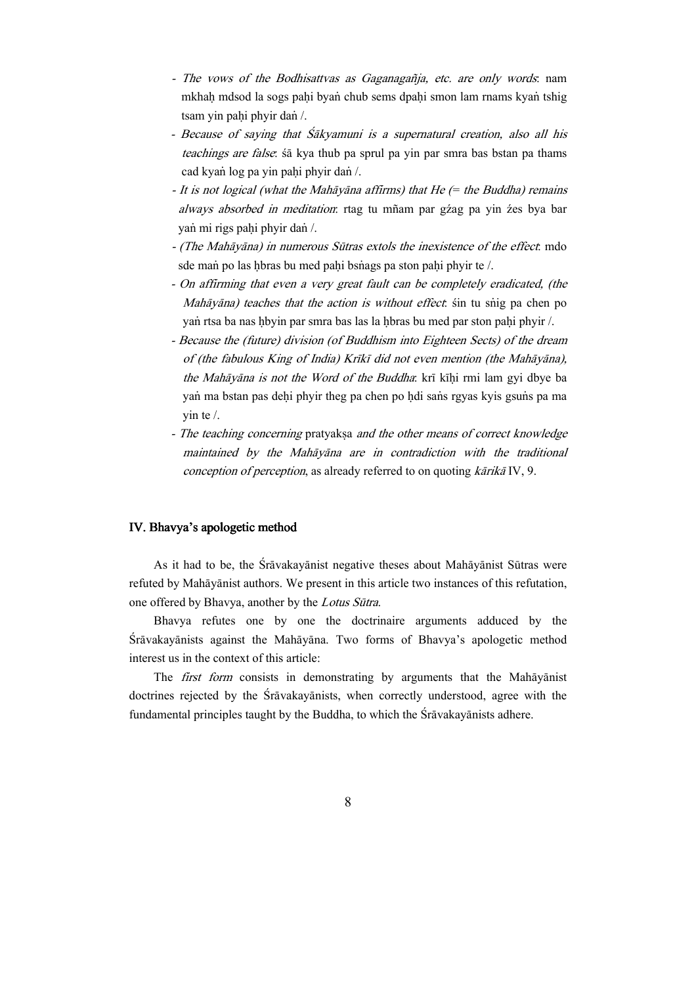- The vows of the Bodhisattvas as Gaganagañja, etc. are only words: nam mkhah mdsod la sogs pahi byan chub sems dpahi smon lam rnams kyan tshig tsam yin pahi phyir dan /.
- Because of saying that Sakyamuni is a supernatural creation, also all his teachings are false: sā kya thub pa sprul pa yin par smra bas bstan pa thams cad kyan log pa yin pahi phyir dan /.
- $-$  It is not logical (what the Mah $\bar{a}$ yana affirms) that He (= the Buddha) remains always absorbed in meditation: rtag tu mñam par gźag pa yin źes bya bar yan mi rigs pahi phyir dan /.
- (The Mahāyāna) in numerous Sūtras extols the inexistence of the effect: mdo sde mañ po las hbras bu med pahi bsñags pa ston pahi phyir te  $\ell$ .
- On affirming that even a very great fault can be completely eradicated, (the Mahāyāna) teaches that the action is without effect, sin tu snig pa chen po yan rtsa ba nas hbyin par smra bas las la hbras bu med par ston pahi phyir /.
- Because the (future) division (of Buddhism into Eighteen Sects) of the dream of (the fabulous King of India) Krīkī did not even mention (the Mahāyāna), the Mahāyāna is not the Word of the Buddha: krī kīhi rmi lam gyi dbye ba yan ma bstan pas dehi phyir theg pa chen po hdi sans rgyas kyis gsuns pa ma yin te /.
- The teaching concerning pratyaksa and the other means of correct knowledge maintained by the Mahāyāna are in contradiction with the traditional conception of perception, as already referred to on quoting  $k\bar{a}$ rika IV, 9.

#### IV. Bhavya's apologetic method

As it had to be, the Srāvakayānist negative theses about Mahāyānist Sūtras were refuted by Mahavanist authors. We present in this article two instances of this refutation, one offered by Bhavya, another by the Lotus Sūtra.

Bhavya refutes one by one the doctrinaire arguments adduced by the Srāvakayānists against the Mahāyāna. Two forms of Bhavya's apologetic method interest us in the context of this article:

The first form consists in demonstrating by arguments that the Mahayanist doctrines rejected by the Sravakayanists, when correctly understood, agree with the fundamental principles taught by the Buddha, to which the  $\overline{S}r\overline{a}vakay\overline{a}n$  and  $\overline{a}v$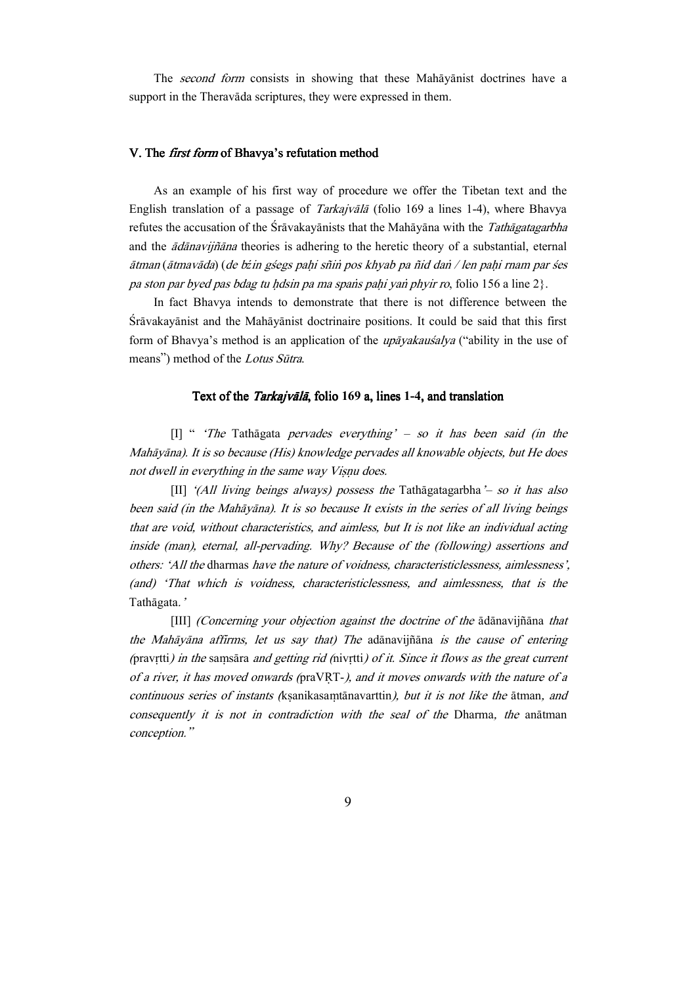The second form consists in showing that these Mahayanist doctrines have a support in the Theravāda scriptures, they were expressed in them.

#### V. The *first form* of Bhavya's refutation method

As an example of his first way of procedure we offer the Tibetan text and the English translation of a passage of *Tarkajvala* (folio 169 a lines 1-4), where Bhavya refutes the accusation of the Śrāvakayānists that the Mahāyāna with the Tathāgatagarbha and the *ādānavijñāna* theories is adhering to the heretic theory of a substantial, eternal ātman (ātmavāda) (de bźin gśegs pahi sñin pos khyab pa ñid dan / len pahi rnam par śes pa ston par byed pas bdag tu hdsin pa ma spañs pahi yañ phyir ro, folio 156 a line  $2$ .

In fact Bhavya intends to demonstrate that there is not difference between the Srāvakayānist and the Mahāyānist doctrinaire positions. It could be said that this first form of Bhavya's method is an application of the *upayakausalya* ("ability in the use of means") method of the Lotus Sūtra.

#### Text of the *Tarkajvālā*, folio 169 a, lines 1-4, and translation

[I] " 'The Tathagata pervades everything'  $-$  so it has been said (in the Mahāyāna). It is so because (His) knowledge pervades all knowable objects, but He does not dwell in everything in the same way Visnu does.

[II] '(All living beings always) possess the Tathagatagarbha' — so it has also been said (in the Mahayana). It is so because It exists in the series of all living beings that are void, without characteristics, and aimless, but It is not like an individual acting inside (man), eternal, all-pervading. Why? Because of the (following) assertions and others: 'All the dharmas have the nature of voidness, characteristiclessness, aimlessness', (and) 'That which is voidness, characteristiclessness, and aimlessness, that is the Tathāgata.'

 $[III]$  (Concerning your objection against the doctrine of the  $\alpha$ dānavijñāna that the Mah $\bar{a}$ yana affirms, let us say that) The adanavijñana is the cause of entering (pravrtti) in the samsāra and getting rid (nivitti) of it. Since it flows as the great current of a river, it has moved onwards (praVRT-), and it moves onwards with the nature of a continuous series of instants (ksanikasamtānavarttin), but it is not like the ātman, and consequently it is not in contradiction with the seal of the Dharma, the anatman conception."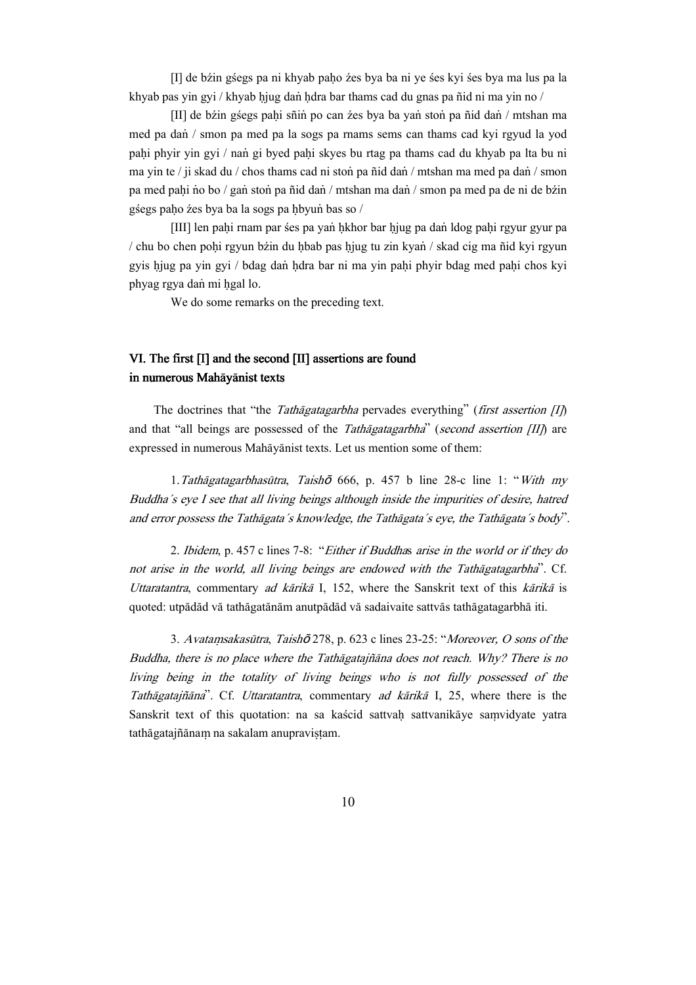[I] de bźin gśegs pa ni khyab paho źes bya ba ni ye śes kyi śes bya ma lus pa la khyab pas yin gyi / khyab hjug dan hdra bar thams cad du gnas pa ñid ni ma yin no /

 $[II]$  de bźin gśegs pahi sñin po can źes bya ba yan ston pa ñid dan / mtshan ma med pa dan / smon pa med pa la sogs pa rnams sems can thams cad kyi rgyud la yod pahi phyir yin gyi / nan gi byed pahi skyes bu rtag pa thams cad du khyab pa lta bu ni ma yin te / ji skad du / chos thams cad ni ston pa ñid dan / mtshan ma med pa dan / smon pa med pahi no bo / gan ston pa ñid dañ / mtshan ma dañ / smon pa med pa de ni de bźin gśegs paho źes bya ba la sogs pa hbyun bas so /

[III] len paḥi rnam par śes pa yaṅ ḥkhor bar ḥjug pa daṅ ldog paḥi rgyur gyur pa / chu bo chen poḥi rgyun bźin du ḥbab pas ḥjug tu zin kyaṅ / skad cig ma ñid kyi rgyun gyis hiug pa yin gyi / bdag dan hdra bar ni ma yin pahi phyir bdag med pahi chos kyi phyag rgya dan mi hgal lo.

We do some remarks on the preceding text.

### VI. The first [I] and the second [II] assertions are found in numerous Mahāyānist texts

The doctrines that "the Tathagatagarbha pervades everything" (first assertion  $|I|\rangle$ ) and that "all beings are possessed of the *Tathagatagarbha*" (second assertion  $III$ ) are expressed in numerous Mahāyānist texts. Let us mention some of them:

1. Tathāgatagarbhasūtra, Taishō 666, p. 457 b line 28-c line 1: "With my Buddha´s eye I see that all living beings although inside the impurities of desire, hatred and error possess the Tathāgata's knowledge, the Tathāgata's eye, the Tathāgata's body".

2. Ibidem, p. 457 c lines 7-8: "Either if Buddhas arise in the world or if they do not arise in the world, all living beings are endowed with the Tathāgatagarbha". Cf. Uttaratantra, commentary ad kārikā I, 152, where the Sanskrit text of this kārikā is quoted: utpādād vā tathāgatānām anutpādād vā sadaivaite sattvās tathāgatagarbhā iti.

3. Avatamsakasūtra, Taish $\bar{\sigma}$ 278, p. 623 c lines 23-25: "Moreover, O sons of the Buddha, there is no place where the Tathāgatajñāna does not reach. Why? There is no living being in the totality of living beings who is not fully possessed of the Tathāgatajñāna". Cf. Uttaratantra, commentary ad kārikā I, 25, where there is the Sanskrit text of this quotation: na sa kaścid sattvah sattvanikāye samvidyate yatra tathāgatajñānam na sakalam anupravistam.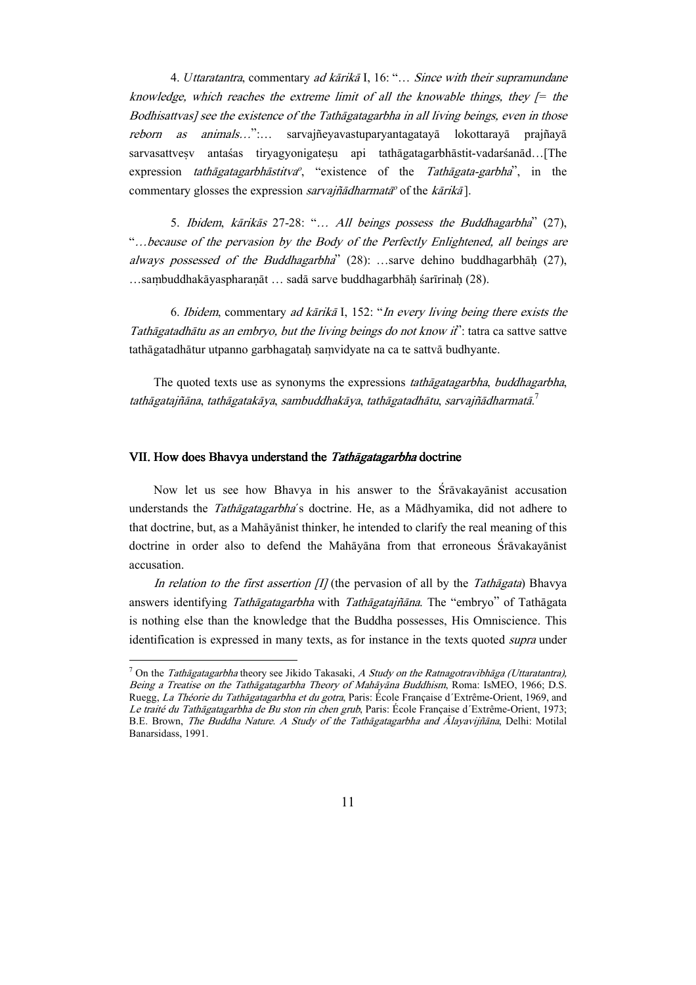4. Uttaratantra, commentary ad kārikā I, 16: "... Since with their supramundane knowledge, which reaches the extreme limit of all the knowable things, they  $\ell$  the Bodhisattvas] see the existence of the Tathāgatagarbha in all living beings, even in those reborn as animals...":... sarvajñeyavastuparyantagatayā lokottarayā prajñayā sarvasattvesv antašas tiryagyonigatesu api tathāgatagarbhāstit-vadaršanād…[The expression *tathāgatagarbhāstitva<sup>o</sup>*, "existence of the Tathāgata-garbha", in the commentary glosses the expression *sarvajñādharmatā*<sup>o</sup> of the kārikā].

5. Ibidem, kārikās 27-28: "... All beings possess the Buddhagarbha" (27), "…because of the pervasion by the Body of the Perfectly Enlightened, all beings are always possessed of the Buddhagarbha''  $(28)$ : ...sarve dehino buddhagarbhah  $(27)$ , …sambuddhakāyaspharanāt … sadā sarve buddhagarbhāḥ śarīrinaḥ (28).

6. Ibidem, commentary ad kārikā I, 152: "In every living being there exists the Tathāgatadhātu as an embryo, but the living beings do not know it": tatra ca sattve sattve tathāgatadhātur utpanno garbhagatah samvidyate na ca te sattvā budhyante.

The quoted texts use as synonyms the expressions tathāgatagarbha, buddhagarbha, tathāgatajñāna, tathāgatakāya, sambuddhakāya, tathāgatadhātu, sarvajñādharmatā. $^7$ 

#### VII. How does Bhavya understand the Tathagatagarbha doctrine

 $\overline{a}$ 

Now let us see how Bhavya in his answer to the Sravakayanist accusation understands the *Tathagatagarbha*'s doctrine. He, as a Madhyamika, did not adhere to that doctrine, but, as a Mahāyānist thinker, he intended to clarify the real meaning of this doctrine in order also to defend the Mah $\bar{a}$ yana from that erroneous  $\acute{S}r\bar{a}vak$ ayanist accusation.

In relation to the first assertion  $\pi$  (the pervasion of all by the Tath $\bar{a}$ gata) Bhavya answers identifying Tathāgatagarbha with Tathāgatajñāna. The "embryo" of Tathāgata is nothing else than the knowledge that the Buddha possesses, His Omniscience. This identification is expressed in many texts, as for instance in the texts quoted *supra* under

<sup>&</sup>lt;sup>7</sup> On the *Tathāgatagarbha* theory see Jikido Takasaki, A Study on the Ratnagotravibhāga (Uttaratantra), Being a Treatise on the Tathāgatagarbha Theory of Mahāyāna Buddhism, Roma: IsMEO, 1966; D.S. Ruegg, La Théorie du Tathāgatagarbha et du gotra, Paris: École Française d'Extrême-Orient, 1969, and Le traité du Tathāgatagarbha de Bu ston rin chen grub, Paris: École Française d'Extrême-Orient, 1973; B.E. Brown, The Buddha Nature. A Study of the Tathagatagarbha and Alayavijñana, Delhi: Motilal Banarsidass, 1991.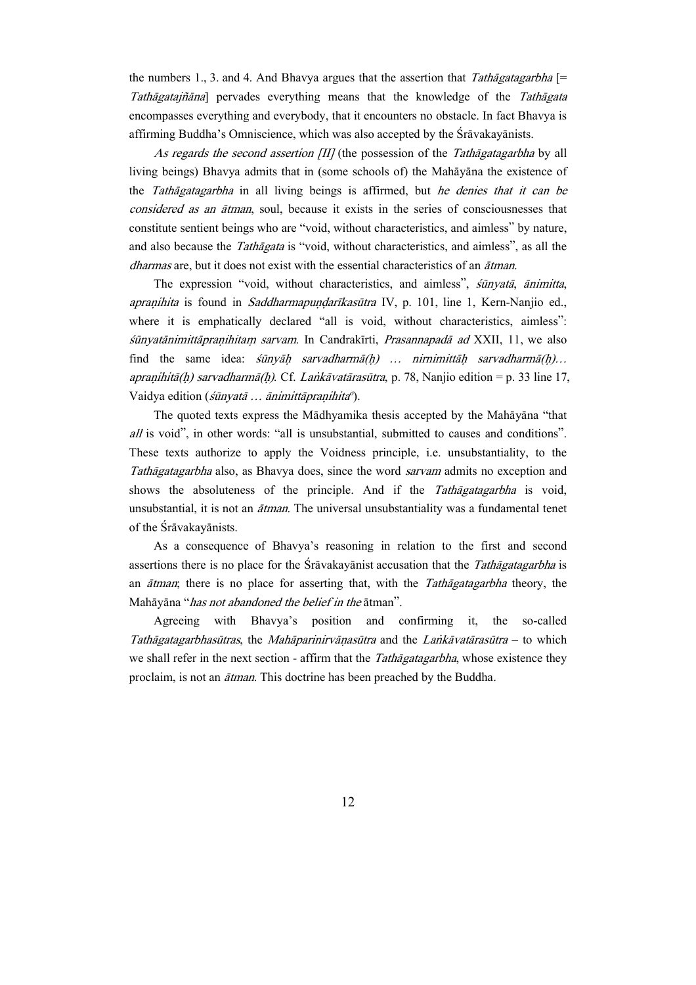the numbers 1, 3, and 4. And Bhavya argues that the assertion that *Tathagatagarbha* [= Tathagatajñana] pervades everything means that the knowledge of the Tathagata encompasses everything and everybody, that it encounters no obstacle. In fact Bhavya is affirming Buddha's Omniscience, which was also accepted by the Srāvakayānists.

As regards the second assertion  $III$  (the possession of the Tathagatagarbha by all living beings) Bhavya admits that in (some schools of) the Mahāyāna the existence of the Tathāgatagarbha in all living beings is affirmed, but he denies that it can be considered as an *atman*, soul, because it exists in the series of consciousnesses that constitute sentient beings who are "void, without characteristics, and aimless" by nature, and also because the *Tathāgata* is "void, without characteristics, and aimless", as all the *dharmas* are, but it does not exist with the essential characteristics of an  $\tilde{a}$  *tman*.

The expression "void, without characteristics, and aimless", *sūnyatā*, *ānimitta*, apranihita is found in Saddharmapundarīkasūtra IV, p. 101, line 1, Kern-Nanjio ed., where it is emphatically declared "all is void, without characteristics, aimless": śūnyatānimittāpraņihitam sarvam. In Candrakīrti, Prasannapadā ad XXII, 11, we also find the same idea:  $\sin y \bar{a} h$  sarvadharm $\bar{a}(h)$  ... nirnimittah sarvadharm $\bar{a}(h)$ ... apranihitā(h) sarvadharmā(h). Cf. Lankāvatārasūtra, p. 78, Nanjio edition = p. 33 line 17, Vaidya edition (*śūnyatā ... ānimittāpraņihita<sup>o</sup>*).

The quoted texts express the Mādhyamika thesis accepted by the Mahāyāna "that all is void", in other words: "all is unsubstantial, submitted to causes and conditions". These texts authorize to apply the Voidness principle, i.e. unsubstantiality, to the Tathagatagarbha also, as Bhavya does, since the word sarvam admits no exception and shows the absoluteness of the principle. And if the Tathagatagarbha is void, unsubstantial, it is not an  $\bar{a}$ tman. The universal unsubstantiality was a fundamental tenet of the Srāvakayānists.

As a consequence of Bhavya's reasoning in relation to the first and second assertions there is no place for the Sravakayanist accusation that the Tathagatagarbha is an  $\tilde{a}$ tman; there is no place for asserting that, with the *Tath* $\tilde{a}$ *gatagarbha* theory, the Mahāyāna "*has not abandoned the belief in the* ātman".

Agreeing with Bhavya's position and confirming it, the so-called Tathāgatagarbhasūtras, the Mahāparinirvānasūtra and the Lankāvatārasūtra – to which we shall refer in the next section - affirm that the Tathagatagarbha, whose existence they proclaim, is not an *ātman*. This doctrine has been preached by the Buddha.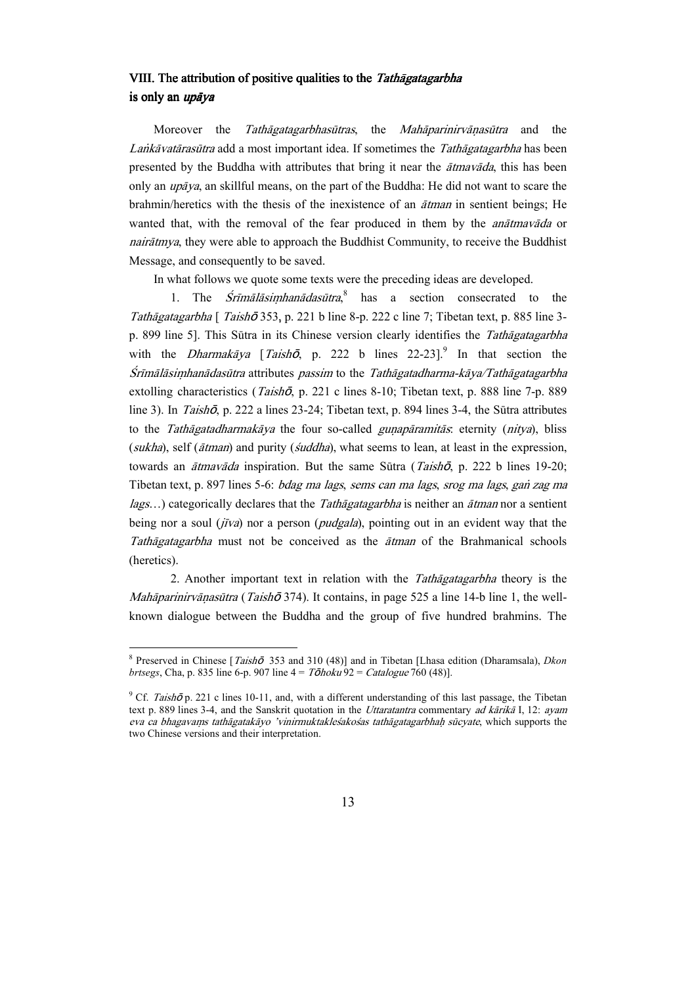### VIII. The attribution of positive qualities to the Tathagatagarbha is only an *upāva*

Moreover the Tathagatagarbhasutras, the Mahaparinirvanasutra and the Lankāvatārasūtra add a most important idea. If sometimes the Tathāgatagarbha has been presented by the Buddha with attributes that bring it near the  $\tilde{atmax\tilde{a}}da$ , this has been only an  $\mu p \bar{q} y a$ , an skillful means, on the part of the Buddha: He did not want to scare the brahmin/heretics with the thesis of the inexistence of an *ātman* in sentient beings; He wanted that, with the removal of the fear produced in them by the *anātmavāda* or  $nair\frac{a}{m}$ , they were able to approach the Buddhist Community, to receive the Buddhist Message, and consequently to be saved.

In what follows we quote some texts were the preceding ideas are developed.

1. The  $S$ rimalasimhanadasutra,<sup>8</sup> has a section consecrated to the Tathāgatagarbha [ Taishō 353, p. 221 b line 8-p. 222 c line 7; Tibetan text, p. 885 line 3p. 899 line 5]. This Sūtra in its Chinese version clearly identifies the Tath $\bar{a}$ gatagarbha with the *Dharmakaya* [*Taishoo*, p. 222 b lines  $22-23$ ].<sup>9</sup> In that section the  $S$ rīmālāsimhanādasūtra attributes *passim* to the *Tathāgatadharma-kāya/Tathāgatagarbha* extolling characteristics (Taishō, p. 221 c lines 8-10; Tibetan text, p. 888 line 7-p. 889 line 3). In Taishō, p. 222 a lines  $23-24$ : Tibetan text, p. 894 lines 3-4, the Sūtra attributes to the *Tathāgatadharmakāya* the four so-called *gunapāramitās*: eternity (*nitya*), bliss (sukha), self ( $\bar{a}$ tman) and purity ( $\bar{a}$ uddha), what seems to lean, at least in the expression, towards an  $\tilde{a}$ tmav $\tilde{a}$ da inspiration. But the same Sūtra (Taish $\tilde{b}$ , p. 222 b lines 19-20; Tibetan text, p. 897 lines 5-6: *bdag ma lags, sems can ma lags, srog ma lags, gan zag ma*  $lags...$ ) categorically declares that the *Tathagatagarbha* is neither an  $\bar{a}t$ man nor a sentient being nor a soul  $(j\bar{\nu}v)$  nor a person (*pudgala*), pointing out in an evident way that the Tathāgatagarbha must not be conceived as the ātman of the Brahmanical schools (heretics).

2. Another important text in relation with the *Tathagatagarbha* theory is the *Mahāparinirvānasūtra* (Taish $\bar{\sigma}$  374). It contains, in page 525 a line 14-b line 1, the wellknown dialogue between the Buddha and the group of five hundred brahmins. The

 $\overline{a}$ 

<sup>&</sup>lt;sup>8</sup> Preserved in Chinese [*Taishō* 353 and 310 (48)] and in Tibetan [Lhasa edition (Dharamsala), *Dkon brtsegs*, Cha, p. 835 line 6-p. 907 line  $4 = T\bar{O}/100$  holds  $92 = Catalogue$  760 (48).

<sup>&</sup>lt;sup>9</sup> Cf. Taish $\bar{\sigma}$  p. 221 c lines 10-11, and, with a different understanding of this last passage, the Tibetan text p. 889 lines 3-4, and the Sanskrit quotation in the *Uttaratantra* commentary *ad kārikā* I, 12: *ayam* eva ca bhagavams tathāgatakāyo 'vinirmuktakleśakośas tathāgatagarbhah sūcyate, which supports the two Chinese versions and their interpretation.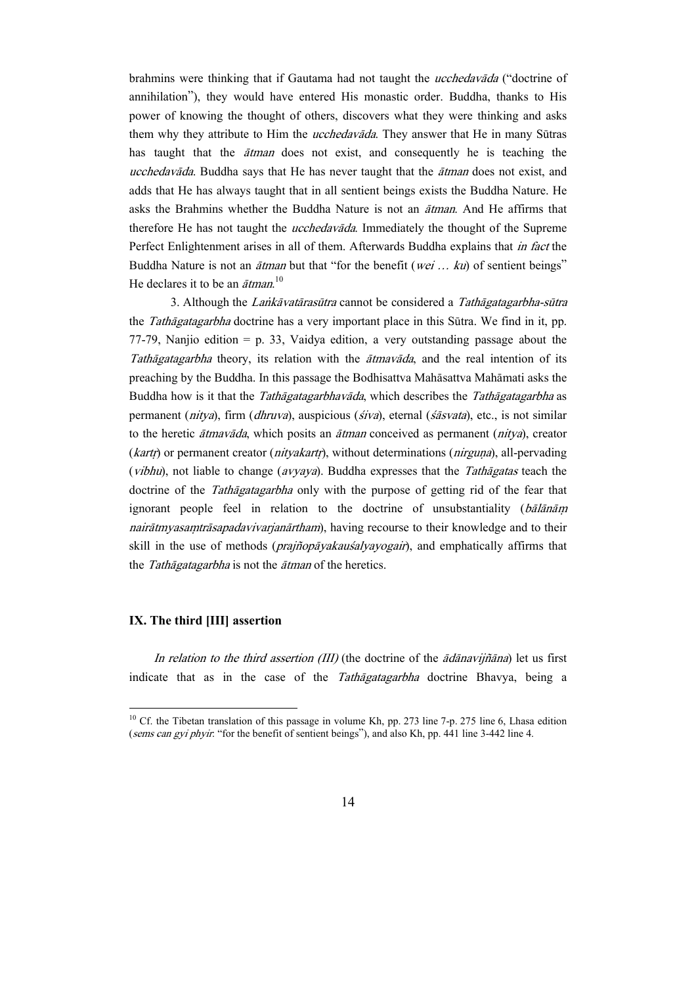brahmins were thinking that if Gautama had not taught the *ucchedavada* ("doctrine of annihilation"), they would have entered His monastic order. Buddha, thanks to His power of knowing the thought of others, discovers what they were thinking and asks them why they attribute to Him the *ucchedavada*. They answer that He in many Sūtras has taught that the *atman* does not exist, and consequently he is teaching the ucchedavāda. Buddha says that He has never taught that the ātman does not exist, and adds that He has always taught that in all sentient beings exists the Buddha Nature. He asks the Brahmins whether the Buddha Nature is not an *atman*. And He affirms that therefore He has not taught the *ucchedavada*. Immediately the thought of the Supreme Perfect Enlightenment arises in all of them. Afterwards Buddha explains that *in fact* the Buddha Nature is not an  $\bar{a}$ tman but that "for the benefit (wei ... ku) of sentient beings" He declares it to be an  $\bar{a}$ tman.<sup>10</sup>

3. Although the Lankāvatārasūtra cannot be considered a Tathāgatagarbha-sūtra the *Tathagatagarbha* doctrine has a very important place in this Sūtra. We find in it, pp. 77-79, Nanjio edition = p. 33, Vaidya edition, a very outstanding passage about the Tathagatagarbha theory, its relation with the  $\bar{\alpha}$  theorem and the real intention of its preaching by the Buddha. In this passage the Bodhisattva Mahāsattva Mahāmati asks the Buddha how is it that the *Tathagatagarbhavada*, which describes the *Tathagatagarbha* as permanent (nitya), firm (dhruva), auspicious (siva), eternal (sasvata), etc., is not similar to the heretic  $\tilde{a}$ tmav $\tilde{a}$ da, which posits an  $\tilde{a}$ tman conceived as permanent (nitya), creator  $(kart)$  or permanent creator (nityakarti), without determinations (nirguna), all-pervading (*vibhu*), not liable to change (*avyaya*). Buddha expresses that the *Tathagatas* teach the doctrine of the Tathagatagarbha only with the purpose of getting rid of the fear that ignorant people feel in relation to the doctrine of unsubstantiality  $(b\bar{a}l\bar{a}n\bar{a}m)$ nairātmyasamtrāsapadavivarjanārtham), having recourse to their knowledge and to their skill in the use of methods (*prajñopāyakauśalyayogair*), and emphatically affirms that the Tathāgatagarbha is not the ātman of the heretics.

### IX. The third [III] assertion

 $\overline{a}$ 

In relation to the third assertion (III) (the doctrine of the  $\bar{a}d\bar{a}n$ avijñ $\bar{a}n$ a) let us first indicate that as in the case of the Tathagatagarbha doctrine Bhavya, being a

 $10$  Cf. the Tibetan translation of this passage in volume Kh, pp. 273 line 7-p. 275 line 6, Lhasa edition (sems can gyi phyir: "for the benefit of sentient beings"), and also Kh, pp. 441 line 3-442 line 4.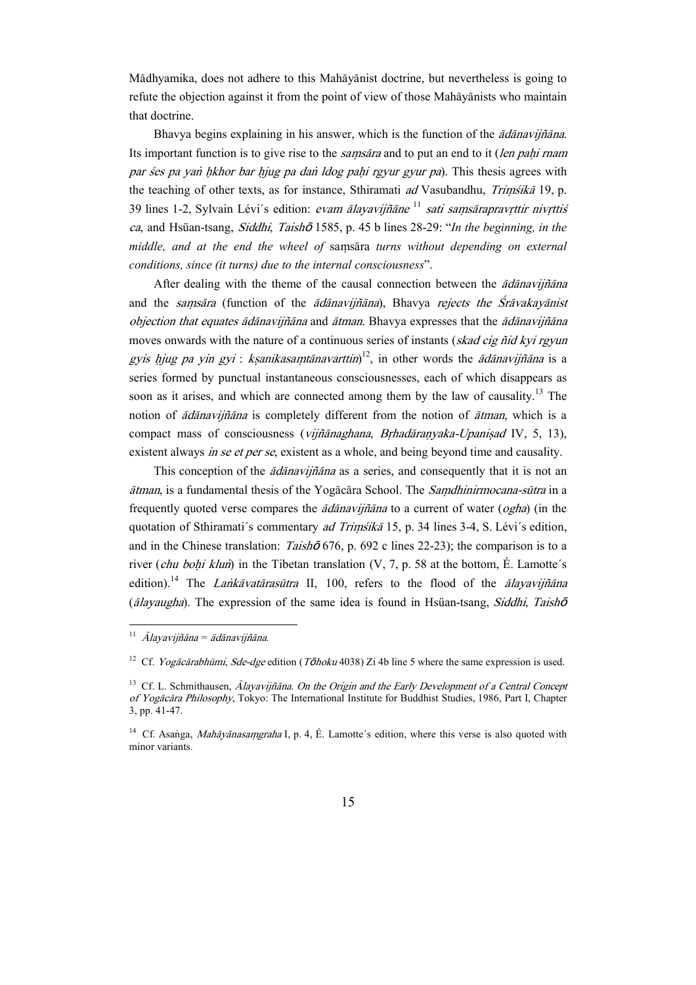Mādhyamika, does not adhere to this Mahāyānist doctrine, but nevertheless is going to refute the objection against it from the point of view of those Mah $\bar{a}$ yanists who maintain that doctrine.

Bhavya begins explaining in his answer, which is the function of the *adanavijñana*. Its important function is to give rise to the *samsara* and to put an end to it (len pahi rnam par śes pa yan hkhor bar hjug pa dan ldog pahi rgyur gyur pa). This thesis agrees with the teaching of other texts, as for instance, Sthiramati *ad* Vasubandhu, *Trimśikā* 19, p. 39 lines 1-2, Sylvain Lévi's edition: *evam ālayavijñāne* <sup>11</sup> sati samsārapravrttir nivrttis ca, and Hsüan-tsang, Siddhi, Taishō 1585, p. 45 b lines 28-29: "In the beginning, in the middle, and at the end the wheel of samsāra turns without depending on external conditions, since (it turns) due to the internal consciousness".

After dealing with the theme of the causal connection between the *adanavijñana* and the samsāra (function of the  $\bar{a}$ dānavijñāna), Bhavya rejects the Śrāvakayānist objection that equates  $\vec{a}$ danavijñana and  $\vec{a}$ tman. Bhayya expresses that the  $\vec{a}$ danavijñana moves onwards with the nature of a continuous series of instants (skad cig ñid kyi rgyun gyis hjug pa yin gyi : kṣanikasaṃtānavarttin)<sup>12</sup>, in other words the ādānavijñāna is a series formed by punctual instantaneous consciousnesses, each of which disappears as soon as it arises, and which are connected among them by the law of causality.<sup>13</sup> The notion of *adanavijñana* is completely different from the notion of *atman*, which is a compact mass of consciousness (vijñānaghana, Brhadāranyaka-Upanisad IV, 5, 13), existent always in se et per se, existent as a whole, and being beyond time and causality.

This conception of the *ādānavijñāna* as a series, and consequently that it is not an *ātman*, is a fundamental thesis of the Yogācāra School. The *Samdhinirmocana-sūtra* in a frequently quoted verse compares the  $\bar{a}d\bar{a}naviji\bar{a}na$  to a current of water (*ogha*) (in the quotation of Sthiramati's commentary *ad Trimśikā* 15, p. 34 lines 3-4, S. Lévi's edition, and in the Chinese translation:  $Taish\bar{\sigma}$  676, p. 692 c lines 22-23); the comparison is to a river (*chu bohi klun*) in the Tibetan translation  $(V, 7, p. 58$  at the bottom, É. Lamotte's edition).<sup>14</sup> The *Lankāvatārasūtra* II, 100, refers to the flood of the *ālayavijñāna* ( $\bar{a}$ layaugha). The expression of the same idea is found in Hsüan-tsang, Siddhi, Taish $\bar{\sigma}$ 

 $^{11}$   $\bar{A}$ layavijñāna = ādānavijñāna.

<sup>&</sup>lt;sup>12</sup> Cf. *Yogācārabhūmi, Sde-dge* edition (T**ō**hoku 4038) Zi 4b line 5 where the same expression is used.

<sup>&</sup>lt;sup>13</sup> Cf. L. Schmithausen, Alayavijñāna. On the Origin and the Early Development of a Central Concept of Yogācāra Philosophy, Tokyo: The International Institute for Buddhist Studies, 1986, Part I, Chapter 3, pp. 41-47.

<sup>&</sup>lt;sup>14</sup> Cf. Asanga, *Mahāyānasaṃgraha* I, p. 4, É. Lamotte's edition, where this verse is also quoted with minor variants.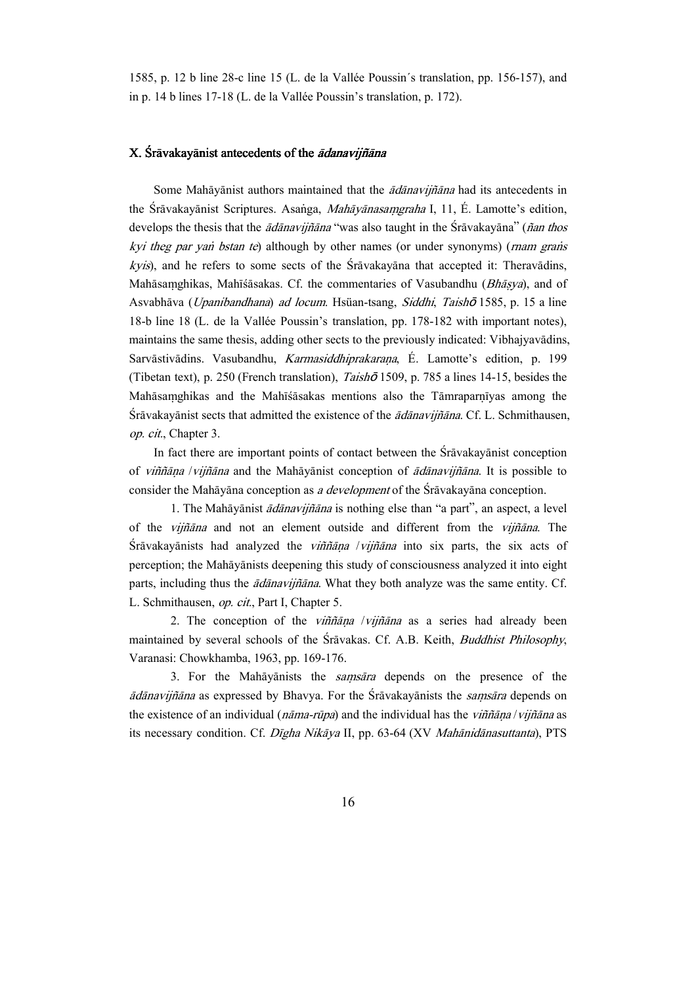1585, p. 12 b line 28-c line 15 (L. de la Vallée Poussin´s translation, pp. 156-157), and in p. 14 b lines 17-18 (L. de la Vallée Poussin's translation, p. 172).

### X. Śrāvakayānist antecedents of the *ādanavijñāna*

Some Mahāyānist authors maintained that the  $\bar{a}d\bar{a}n$  had its antecedents in the Śrāvakayānist Scriptures. Asanga, *Mahāyānasamgraha* I, 11, É. Lamotte's edition, develops the thesis that the  $\bar{a}d\bar{a}n$  arily and the substitution the Sravakayana" (nan thos kyi theg par yan bstan te) although by other names (or under synonyms) (rnam grans *kyis*), and he refers to some sects of the  $\hat{S}$ r $\bar{a}$ vakay $\bar{a}$  and that accepted it: Therav $\bar{a}$ dins, Mahāsamghikas, Mahīśāsakas. Cf. the commentaries of Vasubandhu (Bhāsya), and of Asvabhāva (Upanibandhana) ad locum. Hsüan-tsang, Siddhi, Taishō 1585, p. 15 a line 18-b line 18 (L. de la Vallée Poussin's translation, pp. 178-182 with important notes), maintains the same thesis, adding other sects to the previously indicated: Vibhajyavādins, Sarvāstivādins. Vasubandhu, Karmasiddhiprakaraņa, É. Lamotte's edition, p. 199 (Tibetan text), p. 250 (French translation), *Taish***o** 1509, p. 785 a lines 14-15, besides the Mahāsamghikas and the Mahīsasakas mentions also the Tāmraparnīyas among the  $S_{r\bar{a}}$ vakayānist sects that admitted the existence of the  $\bar{a}d\bar{a}n$ avijñ $\bar{a}n$ a. Cf. L. Schmithausen, op. cit., Chapter 3.

In fact there are important points of contact between the Sravakayanist conception of *viññāna /vijñāna* and the Mahāyānist conception of  $\overline{\text{ad}}$ *ānavijñāna*. It is possible to consider the Mahāyāna conception as a development of the Srāvakayāna conception.

1. The Mahāyānist *ādānavijñāna* is nothing else than "a part", an aspect, a level of the *vijñāna* and not an element outside and different from the *vijñāna*. The  $S_{r\bar{a}}$ vakayānists had analyzed the *viññāna /vijñāna* into six parts, the six acts of perception; the Mah $\bar{a}$ yanists deepening this study of consciousness analyzed it into eight parts, including thus the  $\bar{a}d\bar{a}navi\bar{n}\bar{a}na$ . What they both analyze was the same entity. Cf. L. Schmithausen, op. cit., Part I, Chapter 5.

2. The conception of the *viññana /vijñana* as a series had already been maintained by several schools of the Sravakas. Cf. A.B. Keith, *Buddhist Philosophy*, Varanasi: Chowkhamba, 1963, pp. 169-176.

3. For the Mahayanists the *samsara* depends on the presence of the  $\bar{a}d\bar{a}n$ avijn $\bar{a}n$ a as expressed by Bhavya. For the Śrāvakayānists the *samsāra* depends on the existence of an individual ( $n\bar{a}$ ma-rūpa) and the individual has the vi $n\bar{a}$ its necessary condition. Cf. Dīgha Nikāya II, pp. 63-64 (XV Mahānidānasuttanta), PTS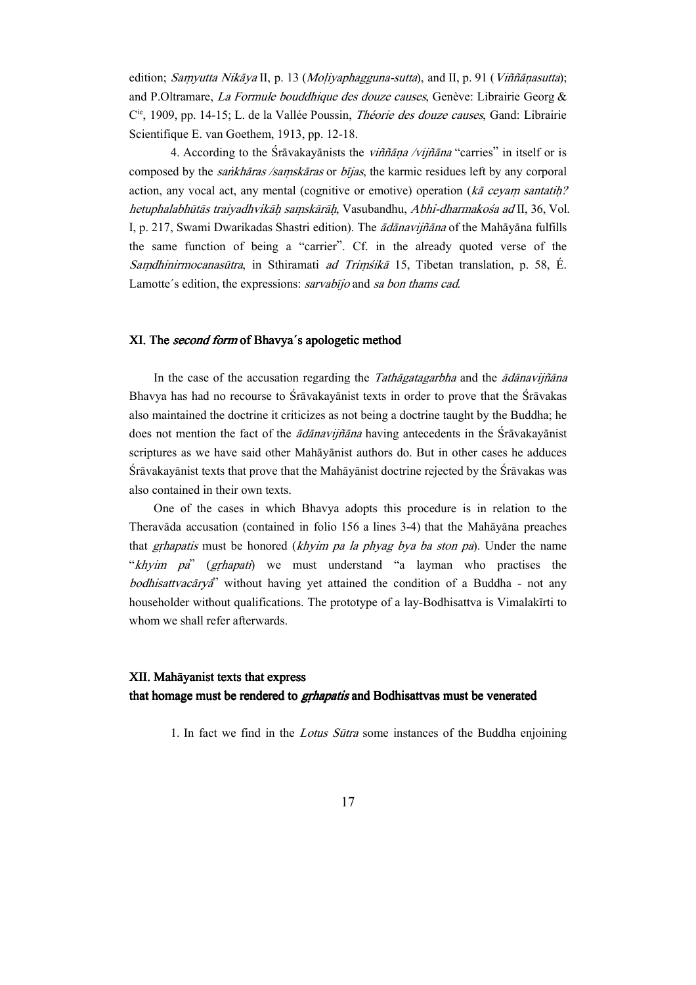edition; Samyutta Nikāya II, p. 13 (Moliyaphagguna-sutta), and II, p. 91 (Viññānasutta); and P.Oltramare, La Formule bouddhique des douze causes, Genève: Librairie Georg & C<sup>ie</sup>, 1909, pp. 14-15; L. de la Vallée Poussin, Théorie des douze causes, Gand: Librairie Scientifique E. van Goethem, 1913, pp. 12-18.

4. According to the Sravakayanists the *viññana /vijñana* "carries" in itself or is composed by the *sankhāras /saṃskāras* or *bījas*, the karmic residues left by any corporal action, any vocal act, any mental (cognitive or emotive) operation ( $k\bar{a}$  ceyam santatih? hetuphalabhūtās traiyadhvikāh samskārāh, Vasubandhu, Abhi-dharmakosa ad II, 36, Vol. I, p. 217, Swami Dwarikadas Shastri edition). The *ādānavijñāna* of the Mahāyāna fulfills the same function of being a "carrier". Cf. in the already quoted verse of the Samdhinirmocanasūtra, in Sthiramati ad Trimsikā 15, Tibetan translation, p. 58, É. Lamotte's edition, the expressions: sarvabijo and sa bon thams cad.

### XI. The second form of Bhavya's apologetic method

In the case of the accusation regarding the *Tathagatagarbha* and the  $\bar{a}d\bar{a}n$ avijñ $\bar{a}n$ a Bhavya has had no recourse to  $\overline{S}r\overline{a}vak$  and the state in order to prove that the  $\overline{S}r\overline{a}vak$  as also maintained the doctrine it criticizes as not being a doctrine taught by the Buddha; he does not mention the fact of the  $\bar{a}d\bar{a}n\bar{a}vii\bar{a}n\bar{a}$  having antecedents in the Sravakayanist scriptures as we have said other Mahayanist authors do. But in other cases he adduces Srāvakayānist texts that prove that the Mahāyānist doctrine rejected by the Srāvakas was also contained in their own texts.

One of the cases in which Bhavya adopts this procedure is in relation to the Theravāda accusation (contained in folio  $156$  a lines  $3-4$ ) that the Mah $\bar{a}$ yana preaches that *grhapatis* must be honored (*khyim pa la phyag bya ba ston pa*). Under the name "khyim pa" (grhapati) we must understand "a layman who practises the *bodhisattvacarya*" without having yet attained the condition of a Buddha - not any householder without qualifications. The prototype of a lay-Bodhisattva is Vimalakirti to whom we shall refer afterwards.

### XII. Mahāyanist texts that express

that homage must be rendered to *grhapatis* and Bodhisattvas must be venerated

1. In fact we find in the *Lotus Sūtra* some instances of the Buddha enjoining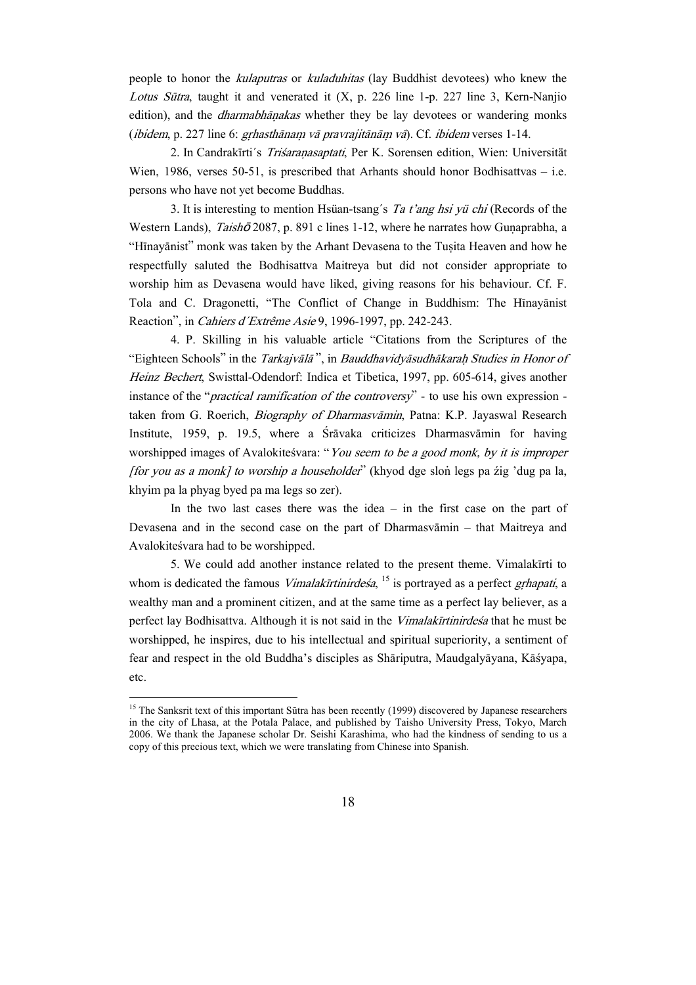people to honor the kulaputras or kuladuhitas (lay Buddhist devotees) who knew the Lotus Sūtra, taught it and venerated it  $(X, p. 226)$  line 1-p. 227 line 3, Kern-Nanjio edition), and the *dharmabhanakas* whether they be lay devotees or wandering monks (*ibidem*, p. 227 line 6: *grhasthānam vā pravrajitānām vā*). Cf. *ibidem* verses 1-14.

2. In Candrakīrti's Triśaranasaptati, Per K. Sorensen edition, Wien: Universität Wien, 1986, verses 50-51, is prescribed that Arhants should honor Bodhisattvas – i.e. persons who have not yet become Buddhas.

3. It is interesting to mention Hsüan-tsang´s Ta t'ang hsi yü chi (Records of the Western Lands), Taishō 2087, p. 891 c lines 1-12, where he narrates how Gunaprabha, a "Hīnayānist" monk was taken by the Arhant Devasena to the Tuṣita Heaven and how he respectfully saluted the Bodhisattva Maitreya but did not consider appropriate to worship him as Devasena would have liked, giving reasons for his behaviour. Cf. F. Tola and C. Dragonetti, "The Conflict of Change in Buddhism: The Hinayanist Reaction", in *Cahiers d'Extrême Asie* 9, 1996-1997, pp. 242-243.

4. P. Skilling in his valuable article "Citations from the Scriptures of the "Eighteen Schools" in the Tarkajvālā", in Bauddhavidyāsudhākarah Studies in Honor of Heinz Bechert, Swisttal-Odendorf: Indica et Tibetica, 1997, pp. 605-614, gives another instance of the "practical ramification of the controversy" - to use his own expression taken from G. Roerich, *Biography of Dharmasvāmin*, Patna: K.P. Jayaswal Research Institute, 1959, p. 19.5, where a  $\overline{S}$ rāvaka criticizes Dharmasvāmin for having worshipped images of Avalokitesvara: "You seem to be a good monk, by it is improper *[for you as a monk] to worship a householder*" (khyod dge slon legs pa źig 'dug pa la, khyim pa la phyag byed pa ma legs so zer).

In the two last cases there was the idea  $-$  in the first case on the part of Devasena and in the second case on the part of Dharmasvamin – that Maitreya and Avalokitesvara had to be worshipped.

5. We could add another instance related to the present theme. Vimalakirti to whom is dedicated the famous *Vimalakīrtinirdeśa*, <sup>15</sup> is portrayed as a perfect *grhapati*, a wealthy man and a prominent citizen, and at the same time as a perfect lay believer, as a perfect lay Bodhisattva. Although it is not said in the *Vimalakirtinirdesa* that he must be worshipped, he inspires, due to his intellectual and spiritual superiority, a sentiment of fear and respect in the old Buddha's disciples as Shāriputra, Maudgalyāyana, Kāśyapa, etc.

 $\overline{a}$ 

<sup>&</sup>lt;sup>15</sup> The Sanksrit text of this important Sūtra has been recently (1999) discovered by Japanese researchers in the city of Lhasa, at the Potala Palace, and published by Taisho University Press, Tokyo, March 2006. We thank the Japanese scholar Dr. Seishi Karashima, who had the kindness of sending to us a copy of this precious text, which we were translating from Chinese into Spanish.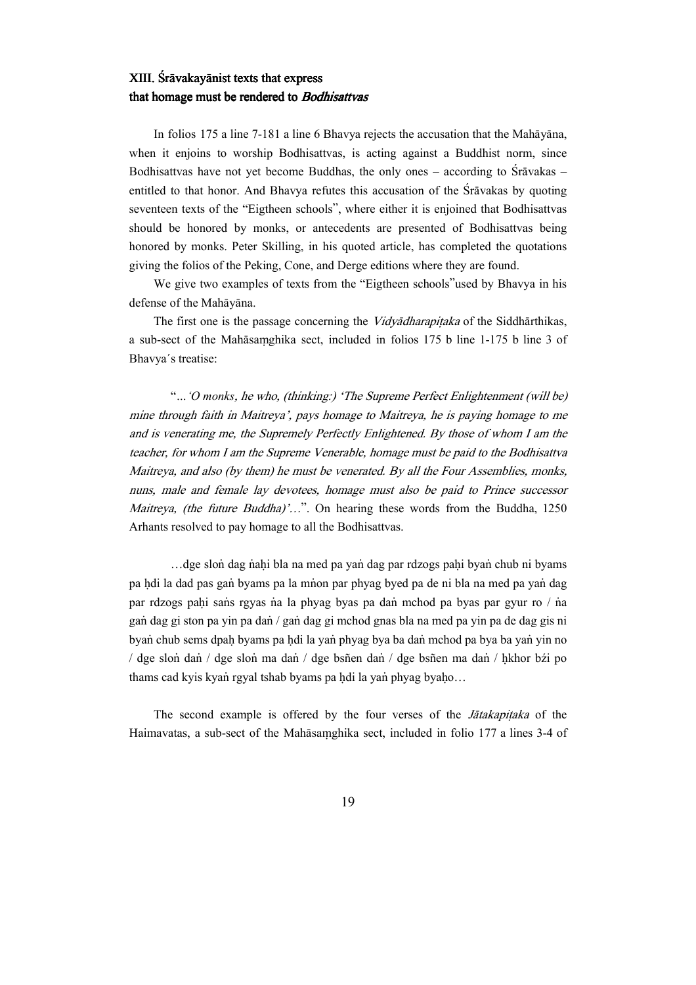### XIII. Srāvakayānist texts that express that homage must be rendered to Bodhisattvas

In folios  $175$  a line  $7-181$  a line 6 Bhavya rejects the accusation that the Mah $\bar{a}$ yana, when it enjoins to worship Bodhisattvas, is acting against a Buddhist norm, since Bodhisattvas have not yet become Buddhas, the only ones – according to  $\overline{S}$ rāvakas – entitled to that honor. And Bhavya refutes this accusation of the Sravakas by quoting seventeen texts of the "Eigtheen schools", where either it is enjoined that Bodhisattvas should be honored by monks, or antecedents are presented of Bodhisattvas being honored by monks. Peter Skilling, in his quoted article, has completed the quotations giving the folios of the Peking, Cone, and Derge editions where they are found.

We give two examples of texts from the "Eigtheen schools"used by Bhavya in his defense of the Mahāyāna.

The first one is the passage concerning the *Vidvadharapitaka* of the Siddharthikas, a sub-sect of the Mahāsamghika sect, included in folios 175 b line 1-175 b line 3 of Bhavya´s treatise:

"…'O monks, he who, (thinking:) 'The Supreme Perfect Enlightenment (will be) mine through faith in Maitreya', pays homage to Maitreya, he is paying homage to me and is venerating me, the Supremely Perfectly Enlightened. By those of whom I am the teacher, for whom I am the Supreme Venerable, homage must be paid to the Bodhisattva Maitreya, and also (by them) he must be venerated. By all the Four Assemblies, monks, nuns, male and female lay devotees, homage must also be paid to Prince successor Maitreya, (the future Buddha)'...". On hearing these words from the Buddha, 1250 Arhants resolved to pay homage to all the Bodhisattvas.

...dge slon dag nahi bla na med pa yan dag par rdzogs pahi byan chub ni byams pa hdi la dad pas gan byams pa la mnon par phyag byed pa de ni bla na med pa yan dag par rdzogs pahi sańs rgyas na la phyag byas pa dan mchod pa byas par gyur ro / na gan dag gi ston pa yin pa dan / gan dag gi mchod gnas bla na med pa yin pa de dag gis ni byan chub sems dpah byams pa hdi la yan phyag bya ba dan mchod pa bya ba yan yin no / dge slon dan / dge slon ma dan / dge bsñen dan / dge bsñen ma dan / hkhor bźi po thams cad kyis kyan rgyal tshab byams pa hdi la yan phyag byaho...

The second example is offered by the four verses of the *Jatakapitaka* of the Haimavatas, a sub-sect of the Mahāsamghika sect, included in folio 177 a lines 3-4 of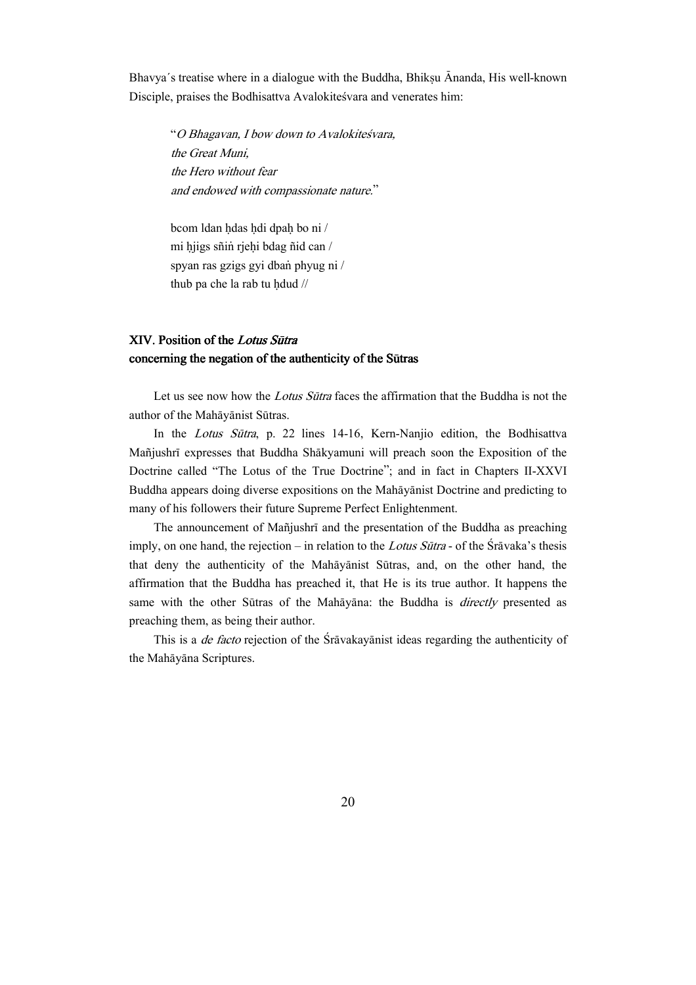Bhavya's treatise where in a dialogue with the Buddha, Bhiksu Ananda, His well-known Disciple, praises the Bodhisattva Avalokitesvara and venerates him:

"O Bhagavan, I bow down to Avalokiteśvara, the Great Muni, the Hero without fear and endowed with compassionate nature."

bcom ldan hdas hdi dpah bo ni / mi hjigs sñin rjehi bdag ñid can / spyan ras gzigs gyi dban phyug ni / thub pa che la rab tu hdud  $\frac{1}{4}$ 

### XIV. Position of the Lotus Sūtra concerning the negation of the authenticity of the Sūtras

Let us see now how the *Lotus Sūtra* faces the affirmation that the Buddha is not the author of the Mahāyānist Sūtras.

In the Lotus Sūtra, p. 22 lines 14-16, Kern-Nanjio edition, the Bodhisattva Mañjushrī expresses that Buddha Shākyamuni will preach soon the Exposition of the Doctrine called "The Lotus of the True Doctrine"; and in fact in Chapters II-XXVI Buddha appears doing diverse expositions on the Mah $\bar{a}$ yanist Doctrine and predicting to many of his followers their future Supreme Perfect Enlightenment.

The announcement of Mañjushrī and the presentation of the Buddha as preaching imply, on one hand, the rejection – in relation to the Lotus Sūtra - of the Sravaka's thesis that deny the authenticity of the Mahāyānist Sūtras, and, on the other hand, the affirmation that the Buddha has preached it, that He is its true author. It happens the same with the other Sūtras of the Mahāyāna: the Buddha is *directly* presented as preaching them, as being their author.

This is a *de facto* rejection of the Sravakayanist ideas regarding the authenticity of the Mahāyāna Scriptures.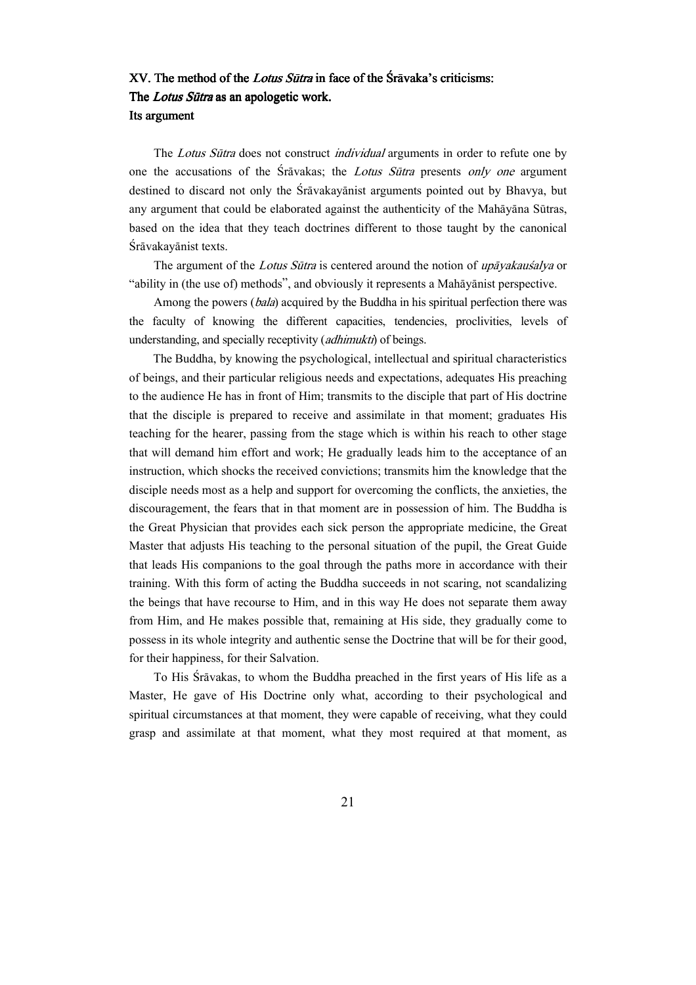## XV. The method of the *Lotus Sūtra* in face of the Sravaka's criticisms: The Lotus Sūtra as an apologetic work. Its argument

The Lotus Sūtra does not construct *individual* arguments in order to refute one by one the accusations of the  $S_{\text{r}}$  avakas; the *Lotus Sūtra* presents only one argument destined to discard not only the Sravakayanist arguments pointed out by Bhavya, but any argument that could be elaborated against the authenticity of the Mahayana Sūtras, based on the idea that they teach doctrines different to those taught by the canonical Śrāvakayānist texts.

The argument of the *Lotus Sūtra* is centered around the notion of *up* $\bar{a}$ *vakaussalva* or "ability in (the use of) methods", and obviously it represents a Mahayanist perspective.

Among the powers (bala) acquired by the Buddha in his spiritual perfection there was the faculty of knowing the different capacities, tendencies, proclivities, levels of understanding, and specially receptivity (adhimukti) of beings.

The Buddha, by knowing the psychological, intellectual and spiritual characteristics of beings, and their particular religious needs and expectations, adequates His preaching to the audience He has in front of Him; transmits to the disciple that part of His doctrine that the disciple is prepared to receive and assimilate in that moment; graduates His teaching for the hearer, passing from the stage which is within his reach to other stage that will demand him effort and work; He gradually leads him to the acceptance of an instruction, which shocks the received convictions; transmits him the knowledge that the disciple needs most as a help and support for overcoming the conflicts, the anxieties, the discouragement, the fears that in that moment are in possession of him. The Buddha is the Great Physician that provides each sick person the appropriate medicine, the Great Master that adjusts His teaching to the personal situation of the pupil, the Great Guide that leads His companions to the goal through the paths more in accordance with their training. With this form of acting the Buddha succeeds in not scaring, not scandalizing the beings that have recourse to Him, and in this way He does not separate them away from Him, and He makes possible that, remaining at His side, they gradually come to possess in its whole integrity and authentic sense the Doctrine that will be for their good, for their happiness, for their Salvation.

To His Sravakas, to whom the Buddha preached in the first years of His life as a Master, He gave of His Doctrine only what, according to their psychological and spiritual circumstances at that moment, they were capable of receiving, what they could grasp and assimilate at that moment, what they most required at that moment, as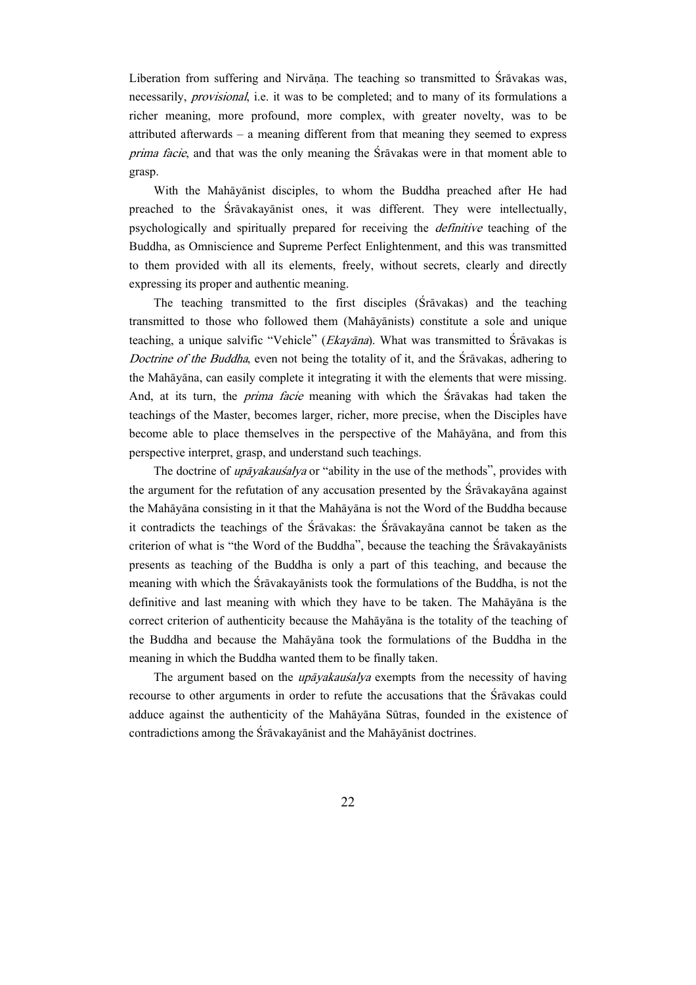Liberation from suffering and Nirvāna. The teaching so transmitted to  $\overline{S}$ rāvakas was, necessarily, *provisional*, i.e. it was to be completed; and to many of its formulations a richer meaning, more profound, more complex, with greater novelty, was to be attributed afterwards — a meaning different from that meaning they seemed to express prima facie, and that was the only meaning the Sravakas were in that moment able to grasp.

With the Mahāyānist disciples, to whom the Buddha preached after He had preached to the Sravakayanist ones, it was different. They were intellectually, psychologically and spiritually prepared for receiving the definitive teaching of the Buddha, as Omniscience and Supreme Perfect Enlightenment, and this was transmitted to them provided with all its elements, freely, without secrets, clearly and directly expressing its proper and authentic meaning.

The teaching transmitted to the first disciples  $(Srāvakas)$  and the teaching transmitted to those who followed them (Mah $\bar{a}$ yanists) constitute a sole and unique teaching, a unique salvific "Vehicle" (*Ekayāna*). What was transmitted to Srāvakas is Doctrine of the Buddha, even not being the totality of it, and the Sravakas, adhering to the Mahāyāna, can easily complete it integrating it with the elements that were missing. And, at its turn, the *prima facie* meaning with which the Sravakas had taken the teachings of the Master, becomes larger, richer, more precise, when the Disciples have become able to place themselves in the perspective of the Mah $\bar{a}$ yana, and from this perspective interpret, grasp, and understand such teachings.

The doctrine of *upāyakauśalya* or "ability in the use of the methods", provides with the argument for the refutation of any accusation presented by the  $\overline{S}$ ravakay $\overline{a}$ na against the Mahayana consisting in it that the Mahayana is not the Word of the Buddha because it contradicts the teachings of the Sravakas: the Sravakayana cannot be taken as the criterion of what is "the Word of the Buddha", because the teaching the  $\overline{S}$ r $\overline{a}$ vakay $\overline{a}$ nists presents as teaching of the Buddha is only a part of this teaching, and because the meaning with which the Sravakayanists took the formulations of the Buddha, is not the definitive and last meaning with which they have to be taken. The Mahayana is the correct criterion of authenticity because the Mahayana is the totality of the teaching of the Buddha and because the Mah $\bar{a}$ yana took the formulations of the Buddha in the meaning in which the Buddha wanted them to be finally taken.

The argument based on the *upāyakauśalya* exempts from the necessity of having recourse to other arguments in order to refute the accusations that the Sravakas could adduce against the authenticity of the Mahayana Sūtras, founded in the existence of contradictions among the Srāvakayānist and the Mahāyānist doctrines.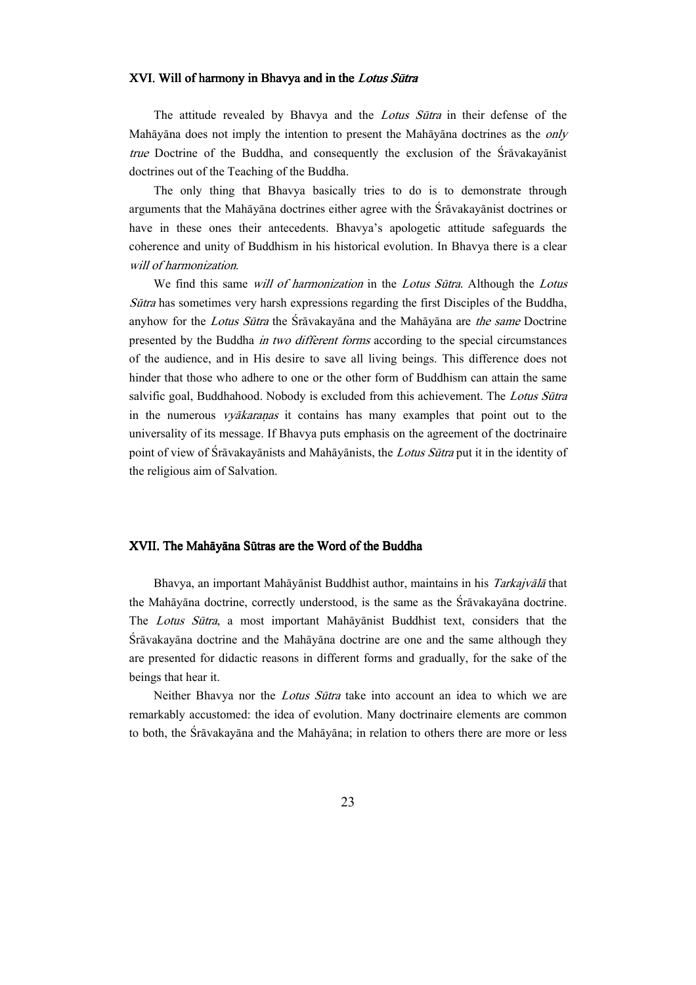#### XVI. Will of harmony in Bhavya and in the Lotus Sutra

The attitude revealed by Bhavya and the Lotus Sūtra in their defense of the Mahāyāna does not imply the intention to present the Mahāyāna doctrines as the  $only$ true Doctrine of the Buddha, and consequently the exclusion of the Sravakayanist doctrines out of the Teaching of the Buddha.

The only thing that Bhavya basically tries to do is to demonstrate through arguments that the Mahayana doctrines either agree with the Sravakayanist doctrines or have in these ones their antecedents. Bhavya's apologetic attitude safeguards the coherence and unity of Buddhism in his historical evolution. In Bhavya there is a clear will of harmonization.

We find this same will of harmonization in the Lotus Sūtra. Although the Lotus  $Sūtra$  has sometimes very harsh expressions regarding the first Disciples of the Buddha, anyhow for the Lotus Sūtra the Śrāvakayāna and the Mahāyāna are the same Doctrine presented by the Buddha in two different forms according to the special circumstances of the audience, and in His desire to save all living beings. This difference does not hinder that those who adhere to one or the other form of Buddhism can attain the same salvific goal, Buddhahood. Nobody is excluded from this achievement. The Lotus Sūtra in the numerous *vyākaraṇas* it contains has many examples that point out to the universality of its message. If Bhavya puts emphasis on the agreement of the doctrinaire point of view of Śrāvakayānists and Mahāyānists, the Lotus Sūtra put it in the identity of the religious aim of Salvation.

#### XVII. The Mahāyāna Sūtras are the Word of the Buddha

Bhavya, an important Mahāyānist Buddhist author, maintains in his *Tarkajvālā* that the Mahāyāna doctrine, correctly understood, is the same as the Srāvakayāna doctrine. The Lotus Sūtra, a most important Mahāyānist Buddhist text, considers that the Srāvakayāna doctrine and the Mahāyāna doctrine are one and the same although they are presented for didactic reasons in different forms and gradually, for the sake of the beings that hear it.

Neither Bhavya nor the *Lotus Sūtra* take into account an idea to which we are remarkably accustomed: the idea of evolution. Many doctrinaire elements are common to both, the Srāvakayāna and the Mahāyāna; in relation to others there are more or less